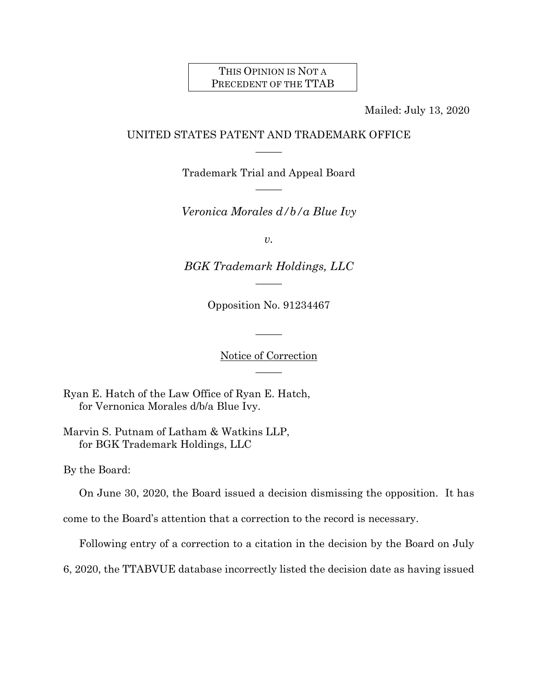## THIS OPINION IS NOT A PRECEDENT OF THE TTAB

Mailed: July 13, 2020

# UNITED STATES PATENT AND TRADEMARK OFFICE  $\overline{\phantom{a}}$

Trademark Trial and Appeal Board  $\overline{\phantom{a}}$ 

*Veronica Morales d/b/a Blue Ivy*

*v.* 

*BGK Trademark Holdings, LLC*  $\overline{\phantom{a}}$ 

Opposition No. 91234467

Notice of Correction  $\overline{\phantom{a}}$ 

 $\mathcal{L}$ 

Ryan E. Hatch of the Law Office of Ryan E. Hatch, for Vernonica Morales d/b/a Blue Ivy.

Marvin S. Putnam of Latham & Watkins LLP, for BGK Trademark Holdings, LLC

By the Board:

On June 30, 2020, the Board issued a decision dismissing the opposition. It has

come to the Board's attention that a correction to the record is necessary.

Following entry of a correction to a citation in the decision by the Board on July

6, 2020, the TTABVUE database incorrectly listed the decision date as having issued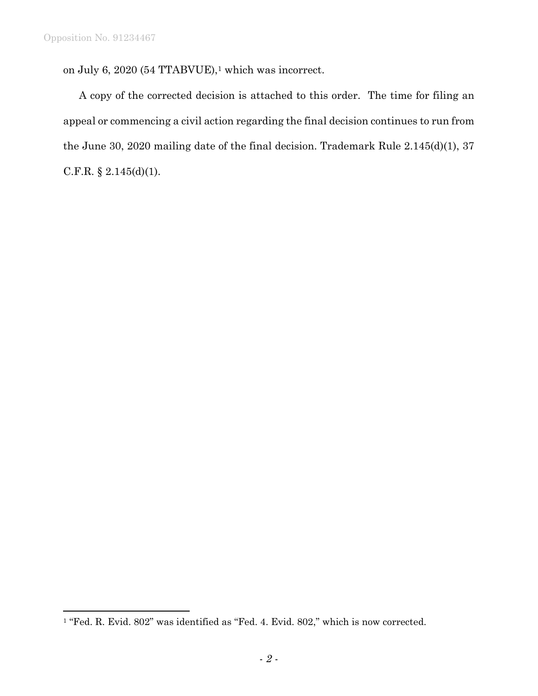$\overline{a}$ 

on July 6, 2020 (54 TTABVUE),<sup>1</sup> which was incorrect.

A copy of the corrected decision is attached to this order. The time for filing an appeal or commencing a civil action regarding the final decision continues to run from the June 30, 2020 mailing date of the final decision. Trademark Rule 2.145(d)(1), 37 C.F.R. § 2.145(d)(1).

<sup>&</sup>lt;sup>1</sup> "Fed. R. Evid. 802" was identified as "Fed. 4. Evid. 802," which is now corrected.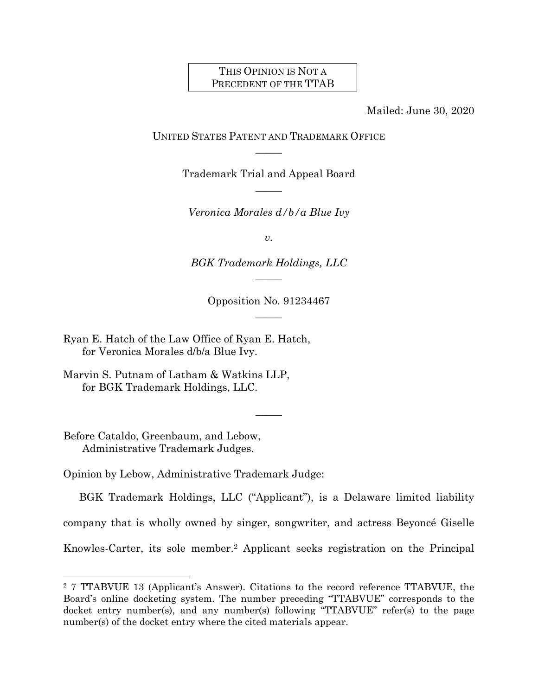## THIS OPINION IS NOT A PRECEDENT OF THE TTAB

Mailed: June 30, 2020

UNITED STATES PATENT AND TRADEMARK OFFICE  $\overline{\phantom{a}}$ 

> Trademark Trial and Appeal Board  $\overline{\phantom{a}}$

*Veronica Morales d/b/a Blue Ivy*

*v.*

*BGK Trademark Holdings, LLC*  $\overline{\phantom{a}}$ 

> Opposition No. 91234467  $\overline{\phantom{a}}$

> > $\overline{\phantom{a}}$

Ryan E. Hatch of the Law Office of Ryan E. Hatch, for Veronica Morales d/b/a Blue Ivy.

Marvin S. Putnam of Latham & Watkins LLP, for BGK Trademark Holdings, LLC.

Before Cataldo, Greenbaum, and Lebow, Administrative Trademark Judges.

l

Opinion by Lebow, Administrative Trademark Judge:

BGK Trademark Holdings, LLC ("Applicant"), is a Delaware limited liability company that is wholly owned by singer, songwriter, and actress Beyoncé Giselle Knowles-Carter, its sole member.<sup>2</sup> Applicant seeks registration on the Principal

<sup>2</sup> 7 TTABVUE 13 (Applicant's Answer). Citations to the record reference TTABVUE, the Board's online docketing system. The number preceding "TTABVUE" corresponds to the docket entry number(s), and any number(s) following "TTABVUE" refer(s) to the page number(s) of the docket entry where the cited materials appear.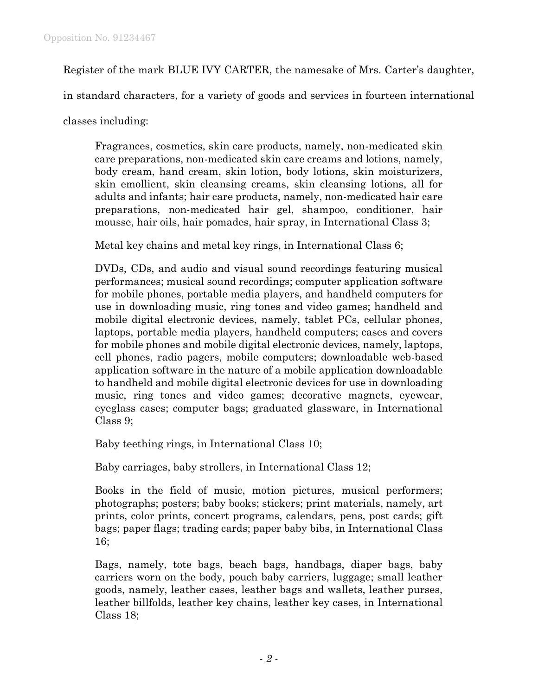Register of the mark BLUE IVY CARTER, the namesake of Mrs. Carter's daughter,

in standard characters, for a variety of goods and services in fourteen international

classes including:

Fragrances, cosmetics, skin care products, namely, non-medicated skin care preparations, non-medicated skin care creams and lotions, namely, body cream, hand cream, skin lotion, body lotions, skin moisturizers, skin emollient, skin cleansing creams, skin cleansing lotions, all for adults and infants; hair care products, namely, non-medicated hair care preparations, non-medicated hair gel, shampoo, conditioner, hair mousse, hair oils, hair pomades, hair spray, in International Class 3;

Metal key chains and metal key rings, in International Class 6;

DVDs, CDs, and audio and visual sound recordings featuring musical performances; musical sound recordings; computer application software for mobile phones, portable media players, and handheld computers for use in downloading music, ring tones and video games; handheld and mobile digital electronic devices, namely, tablet PCs, cellular phones, laptops, portable media players, handheld computers; cases and covers for mobile phones and mobile digital electronic devices, namely, laptops, cell phones, radio pagers, mobile computers; downloadable web-based application software in the nature of a mobile application downloadable to handheld and mobile digital electronic devices for use in downloading music, ring tones and video games; decorative magnets, eyewear, eyeglass cases; computer bags; graduated glassware, in International Class 9;

Baby teething rings, in International Class 10;

Baby carriages, baby strollers, in International Class 12;

Books in the field of music, motion pictures, musical performers; photographs; posters; baby books; stickers; print materials, namely, art prints, color prints, concert programs, calendars, pens, post cards; gift bags; paper flags; trading cards; paper baby bibs, in International Class 16;

Bags, namely, tote bags, beach bags, handbags, diaper bags, baby carriers worn on the body, pouch baby carriers, luggage; small leather goods, namely, leather cases, leather bags and wallets, leather purses, leather billfolds, leather key chains, leather key cases, in International Class 18;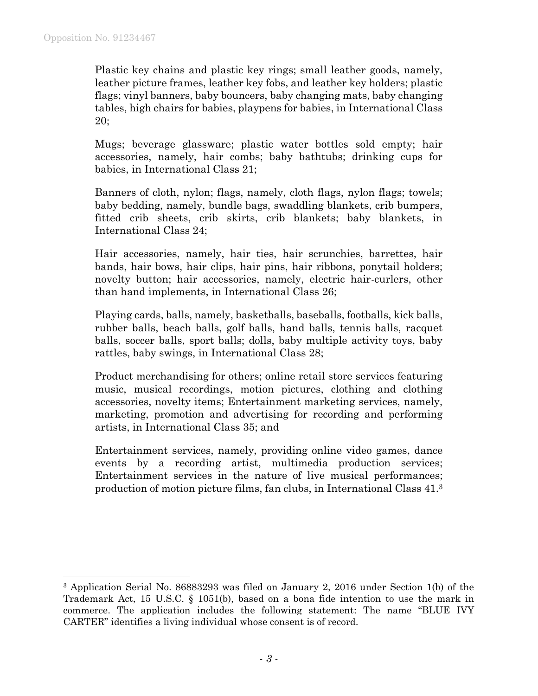l

Plastic key chains and plastic key rings; small leather goods, namely, leather picture frames, leather key fobs, and leather key holders; plastic flags; vinyl banners, baby bouncers, baby changing mats, baby changing tables, high chairs for babies, playpens for babies, in International Class 20;

Mugs; beverage glassware; plastic water bottles sold empty; hair accessories, namely, hair combs; baby bathtubs; drinking cups for babies, in International Class 21;

Banners of cloth, nylon; flags, namely, cloth flags, nylon flags; towels; baby bedding, namely, bundle bags, swaddling blankets, crib bumpers, fitted crib sheets, crib skirts, crib blankets; baby blankets, in International Class 24;

Hair accessories, namely, hair ties, hair scrunchies, barrettes, hair bands, hair bows, hair clips, hair pins, hair ribbons, ponytail holders; novelty button; hair accessories, namely, electric hair-curlers, other than hand implements, in International Class 26;

Playing cards, balls, namely, basketballs, baseballs, footballs, kick balls, rubber balls, beach balls, golf balls, hand balls, tennis balls, racquet balls, soccer balls, sport balls; dolls, baby multiple activity toys, baby rattles, baby swings, in International Class 28;

Product merchandising for others; online retail store services featuring music, musical recordings, motion pictures, clothing and clothing accessories, novelty items; Entertainment marketing services, namely, marketing, promotion and advertising for recording and performing artists, in International Class 35; and

Entertainment services, namely, providing online video games, dance events by a recording artist, multimedia production services; Entertainment services in the nature of live musical performances; production of motion picture films, fan clubs, in International Class 41.<sup>3</sup>

<sup>3</sup> Application Serial No. 86883293 was filed on January 2, 2016 under Section 1(b) of the Trademark Act, 15 U.S.C. § 1051(b), based on a bona fide intention to use the mark in commerce. The application includes the following statement: The name "BLUE IVY CARTER" identifies a living individual whose consent is of record.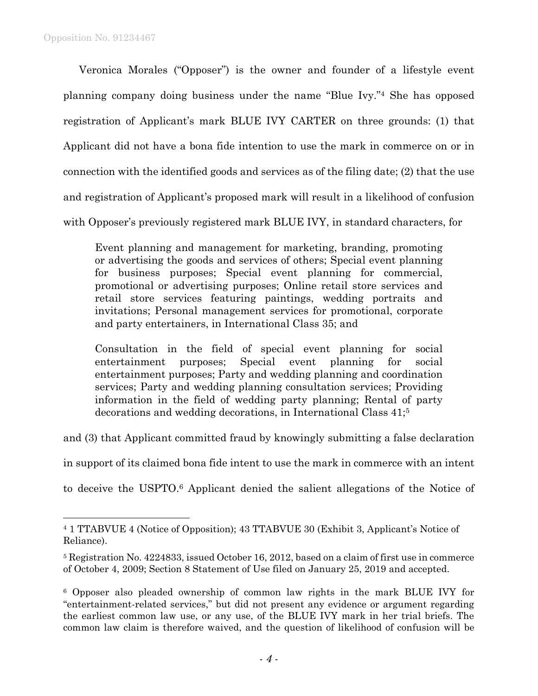$\overline{a}$ 

Veronica Morales ("Opposer") is the owner and founder of a lifestyle event planning company doing business under the name "Blue Ivy." <sup>4</sup> She has opposed registration of Applicant's mark BLUE IVY CARTER on three grounds: (1) that Applicant did not have a bona fide intention to use the mark in commerce on or in connection with the identified goods and services as of the filing date; (2) that the use and registration of Applicant's proposed mark will result in a likelihood of confusion with Opposer's previously registered mark BLUE IVY, in standard characters, for

Event planning and management for marketing, branding, promoting or advertising the goods and services of others; Special event planning for business purposes; Special event planning for commercial, promotional or advertising purposes; Online retail store services and retail store services featuring paintings, wedding portraits and invitations; Personal management services for promotional, corporate and party entertainers, in International Class 35; and

Consultation in the field of special event planning for social entertainment purposes; Special event planning for social entertainment purposes; Party and wedding planning and coordination services; Party and wedding planning consultation services; Providing information in the field of wedding party planning; Rental of party decorations and wedding decorations, in International Class 41;<sup>5</sup>

and (3) that Applicant committed fraud by knowingly submitting a false declaration

in support of its claimed bona fide intent to use the mark in commerce with an intent

to deceive the USPTO. <sup>6</sup> Applicant denied the salient allegations of the Notice of

<sup>4</sup> 1 TTABVUE 4 (Notice of Opposition); 43 TTABVUE 30 (Exhibit 3, Applicant's Notice of Reliance).

<sup>5</sup> Registration No. 4224833, issued October 16, 2012, based on a claim of first use in commerce of October 4, 2009; Section 8 Statement of Use filed on January 25, 2019 and accepted.

<sup>6</sup> Opposer also pleaded ownership of common law rights in the mark BLUE IVY for "entertainment-related services," but did not present any evidence or argument regarding the earliest common law use, or any use, of the BLUE IVY mark in her trial briefs. The common law claim is therefore waived, and the question of likelihood of confusion will be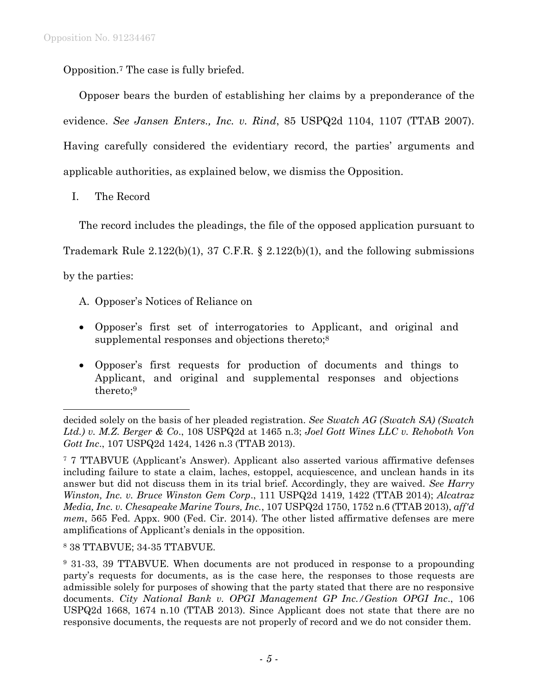Opposition. <sup>7</sup> The case is fully briefed.

Opposer bears the burden of establishing her claims by a preponderance of the evidence. *See Jansen Enters., Inc. v. Rind*, 85 USPQ2d 1104, 1107 (TTAB 2007). Having carefully considered the evidentiary record, the parties' arguments and applicable authorities, as explained below, we dismiss the Opposition.

I. The Record

The record includes the pleadings, the file of the opposed application pursuant to

Trademark Rule 2.122(b)(1), 37 C.F.R. § 2.122(b)(1), and the following submissions

by the parties:

l

- A. Opposer's Notices of Reliance on
- Opposer's first set of interrogatories to Applicant, and original and supplemental responses and objections thereto;<sup>8</sup>
- Opposer's first requests for production of documents and things to Applicant, and original and supplemental responses and objections thereto;<sup>9</sup>

<sup>8</sup> 38 TTABVUE; 34-35 TTABVUE.

decided solely on the basis of her pleaded registration. *See Swatch AG (Swatch SA) (Swatch Ltd.) v. M.Z. Berger & Co*., 108 USPQ2d at 1465 n.3; *Joel Gott Wines LLC v. Rehoboth Von Gott Inc*., 107 USPQ2d 1424, 1426 n.3 (TTAB 2013).

<sup>7</sup> 7 TTABVUE (Applicant's Answer). Applicant also asserted various affirmative defenses including failure to state a claim, laches, estoppel, acquiescence, and unclean hands in its answer but did not discuss them in its trial brief. Accordingly, they are waived. *See Harry Winston, Inc. v. Bruce Winston Gem Corp*., 111 USPQ2d 1419, 1422 (TTAB 2014); *Alcatraz Media, Inc. v. Chesapeake Marine Tours, Inc.*, 107 USPQ2d 1750, 1752 n.6 (TTAB 2013), *aff'd mem*, 565 Fed. Appx. 900 (Fed. Cir. 2014). The other listed affirmative defenses are mere amplifications of Applicant's denials in the opposition.

<sup>9</sup> 31-33, 39 TTABVUE. When documents are not produced in response to a propounding party's requests for documents, as is the case here, the responses to those requests are admissible solely for purposes of showing that the party stated that there are no responsive documents. *City National Bank v. OPGI Management GP Inc./Gestion OPGI Inc*., 106 USPQ2d 1668, 1674 n.10 (TTAB 2013). Since Applicant does not state that there are no responsive documents, the requests are not properly of record and we do not consider them.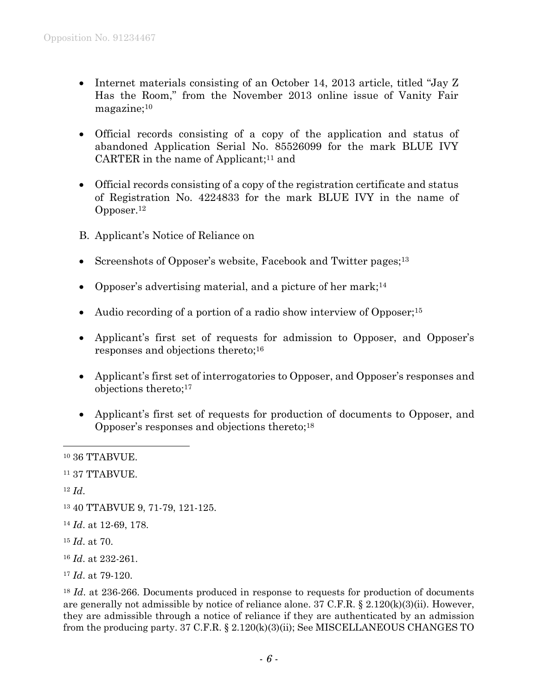- Internet materials consisting of an October 14, 2013 article, titled "Jay Z Has the Room," from the November 2013 online issue of Vanity Fair magazine; 10
- Official records consisting of a copy of the application and status of abandoned Application Serial No. 85526099 for the mark BLUE IVY CARTER in the name of Applicant; <sup>11</sup> and
- Official records consisting of a copy of the registration certificate and status of Registration No. 4224833 for the mark BLUE IVY in the name of Opposer. 12
- B. Applicant's Notice of Reliance on
- Screenshots of Opposer's website, Facebook and Twitter pages;<sup>13</sup>
- Opposer's advertising material, and a picture of her mark;<sup>14</sup>
- Audio recording of a portion of a radio show interview of Opposer;<sup>15</sup>
- Applicant's first set of requests for admission to Opposer, and Opposer's responses and objections thereto;<sup>16</sup>
- Applicant's first set of interrogatories to Opposer, and Opposer's responses and objections thereto;<sup>17</sup>
- Applicant's first set of requests for production of documents to Opposer, and Opposer's responses and objections thereto;<sup>18</sup>

<sup>12</sup> *Id*.

- <sup>15</sup> *Id*. at 70.
- <sup>16</sup> *Id*. at 232-261.

<sup>10</sup> 36 TTABVUE.

<sup>11</sup> 37 TTABVUE.

<sup>13</sup> 40 TTABVUE 9, 71-79, 121-125.

<sup>14</sup> *Id*. at 12-69, 178.

<sup>17</sup> *Id*. at 79-120.

<sup>&</sup>lt;sup>18</sup> *Id.* at 236-266. Documents produced in response to requests for production of documents are generally not admissible by notice of reliance alone. 37 C.F.R. § 2.120(k)(3)(ii). However, they are admissible through a notice of reliance if they are authenticated by an admission from the producing party. 37 C.F.R. § 2.120(k)(3)(ii); See MISCELLANEOUS CHANGES TO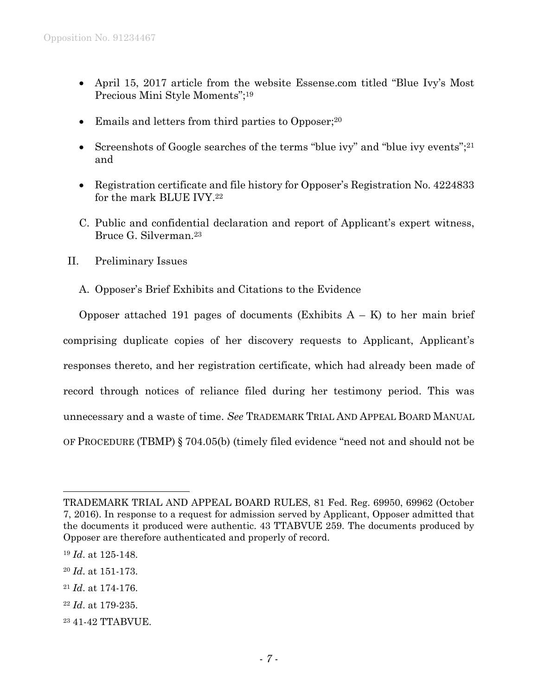- April 15, 2017 article from the website Essense.com titled "Blue Ivy's Most Precious Mini Style Moments";<sup>19</sup>
- Emails and letters from third parties to Opposer;<sup>20</sup>
- Screenshots of Google searches of the terms "blue ivy" and "blue ivy events"; $^{21}$ and
- Registration certificate and file history for Opposer's Registration No. 4224833 for the mark BLUE IVY.<sup>22</sup>
- C. Public and confidential declaration and report of Applicant's expert witness, Bruce G. Silverman.<sup>23</sup>
- II. Preliminary Issues
	- A. Opposer's Brief Exhibits and Citations to the Evidence

Opposer attached 191 pages of documents (Exhibits  $A - K$ ) to her main brief comprising duplicate copies of her discovery requests to Applicant, Applicant's responses thereto, and her registration certificate, which had already been made of record through notices of reliance filed during her testimony period. This was unnecessary and a waste of time. *See* TRADEMARK TRIAL AND APPEAL BOARD MANUAL OF PROCEDURE (TBMP) § 704.05(b) (timely filed evidence "need not and should not be

- <sup>20</sup> *Id*. at 151-173.
- <sup>21</sup> *Id*. at 174-176.
- <sup>22</sup> *Id*. at 179-235.
- <sup>23</sup> 41-42 TTABVUE.

TRADEMARK TRIAL AND APPEAL BOARD RULES, 81 Fed. Reg. 69950, 69962 (October 7, 2016). In response to a request for admission served by Applicant, Opposer admitted that the documents it produced were authentic. 43 TTABVUE 259. The documents produced by Opposer are therefore authenticated and properly of record.

<sup>19</sup> *Id*. at 125-148.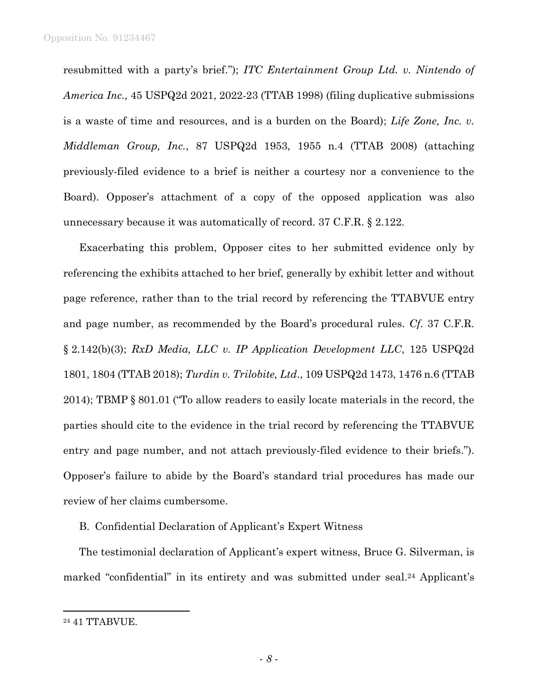resubmitted with a party's brief."); *ITC Entertainment Group Ltd. v. Nintendo of America Inc.,* 45 USPQ2d 2021, 2022-23 (TTAB 1998) (filing duplicative submissions is a waste of time and resources, and is a burden on the Board); *Life Zone, Inc. v. Middleman Group, Inc.*, 87 USPQ2d 1953, 1955 n.4 (TTAB 2008) (attaching previously-filed evidence to a brief is neither a courtesy nor a convenience to the Board). Opposer's attachment of a copy of the opposed application was also unnecessary because it was automatically of record. 37 C.F.R. § 2.122.

Exacerbating this problem, Opposer cites to her submitted evidence only by referencing the exhibits attached to her brief, generally by exhibit letter and without page reference, rather than to the trial record by referencing the TTABVUE entry and page number, as recommended by the Board's procedural rules. *Cf*. 37 C.F.R. § 2.142(b)(3); *RxD Media, LLC v. IP Application Development LLC*, 125 USPQ2d 1801, 1804 (TTAB 2018); *Turdin v. Trilobite, Ltd*., 109 USPQ2d 1473, 1476 n.6 (TTAB 2014); TBMP § 801.01 ("To allow readers to easily locate materials in the record, the parties should cite to the evidence in the trial record by referencing the TTABVUE entry and page number, and not attach previously-filed evidence to their briefs."). Opposer's failure to abide by the Board's standard trial procedures has made our review of her claims cumbersome.

B. Confidential Declaration of Applicant's Expert Witness

The testimonial declaration of Applicant's expert witness, Bruce G. Silverman, is marked "confidential" in its entirety and was submitted under seal.<sup>24</sup> Applicant's

<sup>24</sup> 41 TTABVUE.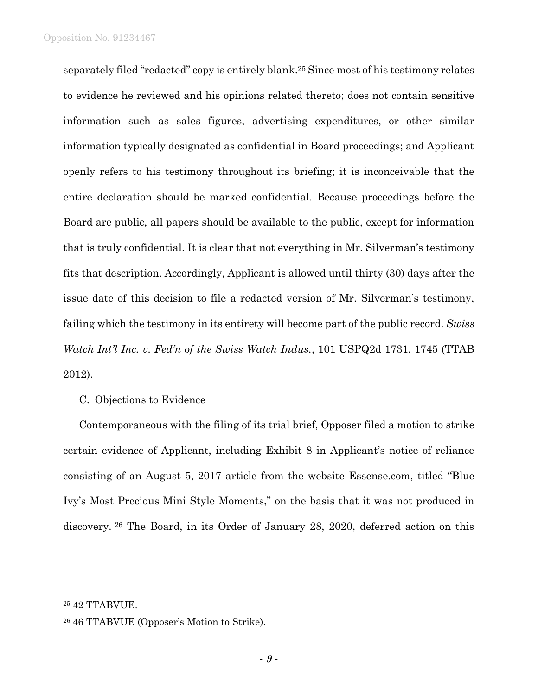separately filed "redacted" copy is entirely blank.<sup>25</sup> Since most of his testimony relates to evidence he reviewed and his opinions related thereto; does not contain sensitive information such as sales figures, advertising expenditures, or other similar information typically designated as confidential in Board proceedings; and Applicant openly refers to his testimony throughout its briefing; it is inconceivable that the entire declaration should be marked confidential. Because proceedings before the Board are public, all papers should be available to the public, except for information that is truly confidential. It is clear that not everything in Mr. Silverman's testimony fits that description. Accordingly, Applicant is allowed until thirty (30) days after the issue date of this decision to file a redacted version of Mr. Silverman's testimony, failing which the testimony in its entirety will become part of the public record. *Swiss Watch Int'l Inc. v. Fed'n of the Swiss Watch Indus.*, 101 USPQ2d 1731, 1745 (TTAB 2012).

## C. Objections to Evidence

Contemporaneous with the filing of its trial brief, Opposer filed a motion to strike certain evidence of Applicant, including Exhibit 8 in Applicant's notice of reliance consisting of an August 5, 2017 article from the website Essense.com, titled "Blue Ivy's Most Precious Mini Style Moments," on the basis that it was not produced in discovery. <sup>26</sup> The Board, in its Order of January 28, 2020, deferred action on this

<sup>25</sup> 42 TTABVUE.

<sup>26</sup> 46 TTABVUE (Opposer's Motion to Strike).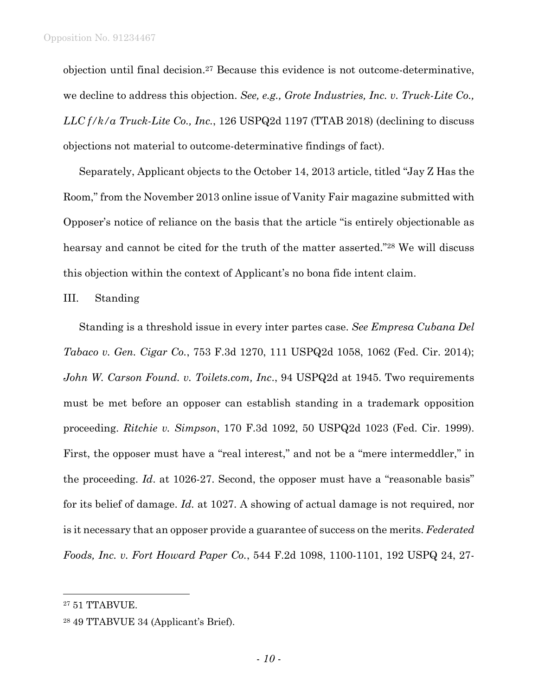objection until final decision.<sup>27</sup> Because this evidence is not outcome-determinative, we decline to address this objection. *See, e.g., Grote Industries, Inc. v. Truck-Lite Co., LLC f/k/a Truck-Lite Co., Inc.*, 126 USPQ2d 1197 (TTAB 2018) (declining to discuss objections not material to outcome-determinative findings of fact).

Separately, Applicant objects to the October 14, 2013 article, titled "Jay Z Has the Room," from the November 2013 online issue of Vanity Fair magazine submitted with Opposer's notice of reliance on the basis that the article "is entirely objectionable as hearsay and cannot be cited for the truth of the matter asserted."<sup>28</sup> We will discuss this objection within the context of Applicant's no bona fide intent claim.

#### III. Standing

Standing is a threshold issue in every inter partes case. *See Empresa Cubana Del Tabaco v. Gen. Cigar Co.*, 753 F.3d 1270, 111 USPQ2d 1058, 1062 (Fed. Cir. 2014); *John W. Carson Found. v. Toilets.com, Inc*., 94 USPQ2d at 1945. Two requirements must be met before an opposer can establish standing in a trademark opposition proceeding. *Ritchie v. Simpson*, 170 F.3d 1092, 50 USPQ2d 1023 (Fed. Cir. 1999). First, the opposer must have a "real interest," and not be a "mere intermeddler," in the proceeding. *Id*. at 1026-27. Second, the opposer must have a "reasonable basis" for its belief of damage. *Id.* at 1027. A showing of actual damage is not required, nor is it necessary that an opposer provide a guarantee of success on the merits. *Federated Foods, Inc. v. Fort Howard Paper Co.*, 544 F.2d 1098, 1100-1101, 192 USPQ 24, 27-

<sup>27</sup> 51 TTABVUE.

<sup>28</sup> 49 TTABVUE 34 (Applicant's Brief).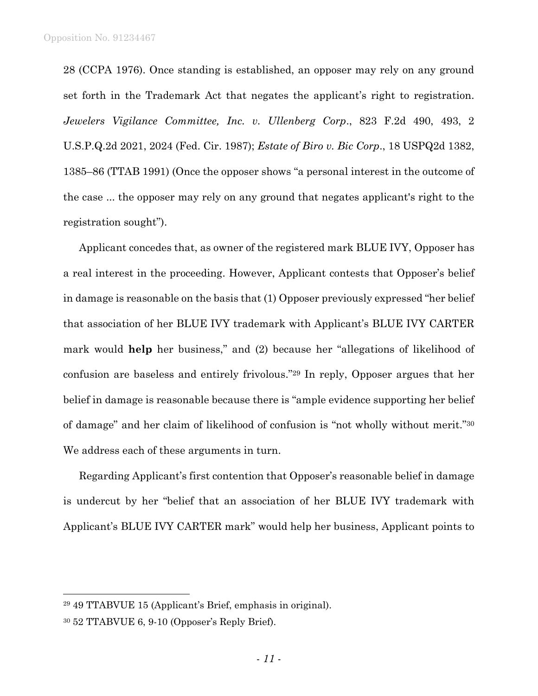28 (CCPA 1976). Once standing is established, an opposer may rely on any ground set forth in the Trademark Act that negates the applicant's right to registration. *Jewelers Vigilance Committee, Inc. v. Ullenberg Corp*., 823 F.2d 490, 493, 2 U.S.P.Q.2d 2021, 2024 (Fed. Cir. 1987); *Estate of Biro v. Bic Corp*., 18 USPQ2d 1382, 1385–86 (TTAB 1991) (Once the opposer shows "a personal interest in the outcome of the case ... the opposer may rely on any ground that negates applicant's right to the registration sought").

Applicant concedes that, as owner of the registered mark BLUE IVY, Opposer has a real interest in the proceeding. However, Applicant contests that Opposer's belief in damage is reasonable on the basis that (1) Opposer previously expressed "her belief that association of her BLUE IVY trademark with Applicant's BLUE IVY CARTER mark would **help** her business," and (2) because her "allegations of likelihood of confusion are baseless and entirely frivolous." <sup>29</sup> In reply, Opposer argues that her belief in damage is reasonable because there is "ample evidence supporting her belief of damage" and her claim of likelihood of confusion is "not wholly without merit."<sup>30</sup> We address each of these arguments in turn.

Regarding Applicant's first contention that Opposer's reasonable belief in damage is undercut by her "belief that an association of her BLUE IVY trademark with Applicant's BLUE IVY CARTER mark" would help her business, Applicant points to

<sup>29</sup> 49 TTABVUE 15 (Applicant's Brief, emphasis in original).

<sup>30</sup> 52 TTABVUE 6, 9-10 (Opposer's Reply Brief).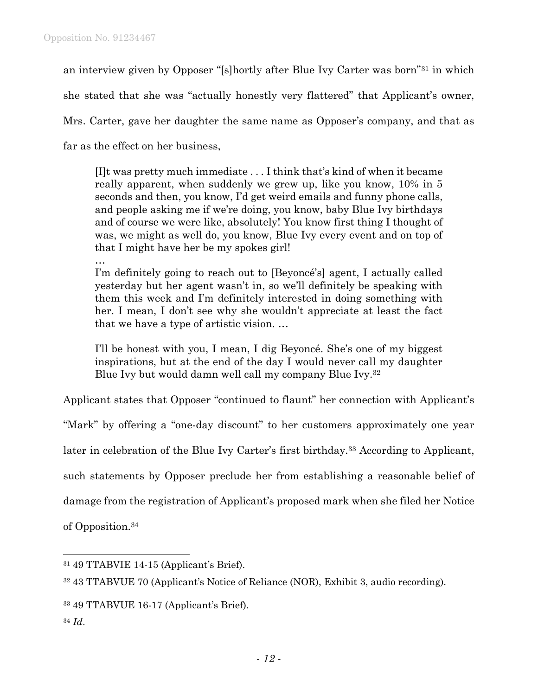an interview given by Opposer "[s]hortly after Blue Ivy Carter was born"<sup>31</sup> in which

she stated that she was "actually honestly very flattered" that Applicant's owner,

Mrs. Carter, gave her daughter the same name as Opposer's company, and that as

far as the effect on her business,

[I]t was pretty much immediate . . . I think that's kind of when it became really apparent, when suddenly we grew up, like you know, 10% in 5 seconds and then, you know, I'd get weird emails and funny phone calls, and people asking me if we're doing, you know, baby Blue Ivy birthdays and of course we were like, absolutely! You know first thing I thought of was, we might as well do, you know, Blue Ivy every event and on top of that I might have her be my spokes girl!

…

I'm definitely going to reach out to [Beyoncé's] agent, I actually called yesterday but her agent wasn't in, so we'll definitely be speaking with them this week and I'm definitely interested in doing something with her. I mean, I don't see why she wouldn't appreciate at least the fact that we have a type of artistic vision. …

I'll be honest with you, I mean, I dig Beyoncé. She's one of my biggest inspirations, but at the end of the day I would never call my daughter Blue Ivy but would damn well call my company Blue Ivy.<sup>32</sup>

Applicant states that Opposer "continued to flaunt" her connection with Applicant's

"Mark" by offering a "one-day discount" to her customers approximately one year

later in celebration of the Blue Ivy Carter's first birthday.<sup>33</sup> According to Applicant,

such statements by Opposer preclude her from establishing a reasonable belief of

damage from the registration of Applicant's proposed mark when she filed her Notice

of Opposition.<sup>34</sup>

<sup>34</sup> *Id*.

<sup>31</sup> 49 TTABVIE 14-15 (Applicant's Brief).

<sup>32</sup> 43 TTABVUE 70 (Applicant's Notice of Reliance (NOR), Exhibit 3, audio recording).

<sup>33</sup> 49 TTABVUE 16-17 (Applicant's Brief).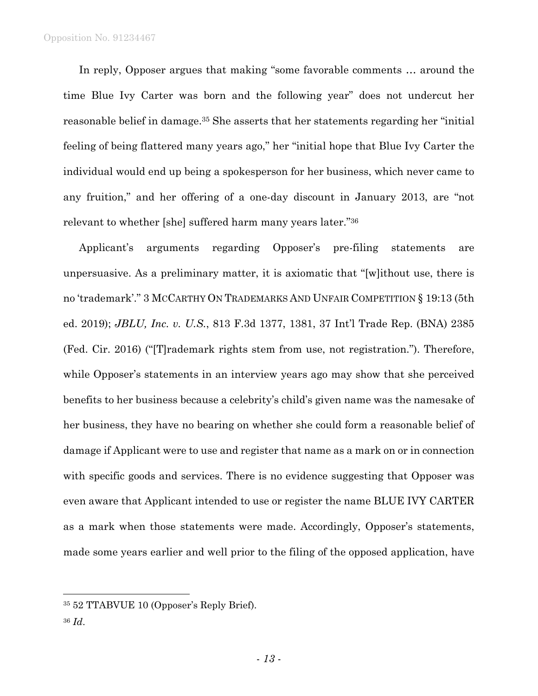In reply, Opposer argues that making "some favorable comments … around the time Blue Ivy Carter was born and the following year" does not undercut her reasonable belief in damage.<sup>35</sup> She asserts that her statements regarding her "initial feeling of being flattered many years ago," her "initial hope that Blue Ivy Carter the individual would end up being a spokesperson for her business, which never came to any fruition," and her offering of a one-day discount in January 2013, are "not relevant to whether [she] suffered harm many years later."<sup>36</sup>

Applicant's arguments regarding Opposer's pre-filing statements are unpersuasive. As a preliminary matter, it is axiomatic that "[w]ithout use, there is no 'trademark'." 3 MCCARTHY ON TRADEMARKS AND UNFAIR COMPETITION § 19:13 (5th ed. 2019); *JBLU, Inc. v. U.S.*, 813 F.3d 1377, 1381, 37 Int'l Trade Rep. (BNA) 2385 (Fed. Cir. 2016) ("[T]rademark rights stem from use, not registration."). Therefore, while Opposer's statements in an interview years ago may show that she perceived benefits to her business because a celebrity's child's given name was the namesake of her business, they have no bearing on whether she could form a reasonable belief of damage if Applicant were to use and register that name as a mark on or in connection with specific goods and services. There is no evidence suggesting that Opposer was even aware that Applicant intended to use or register the name BLUE IVY CARTER as a mark when those statements were made. Accordingly, Opposer's statements, made some years earlier and well prior to the filing of the opposed application, have

<sup>35</sup> 52 TTABVUE 10 (Opposer's Reply Brief).

<sup>36</sup> *Id*.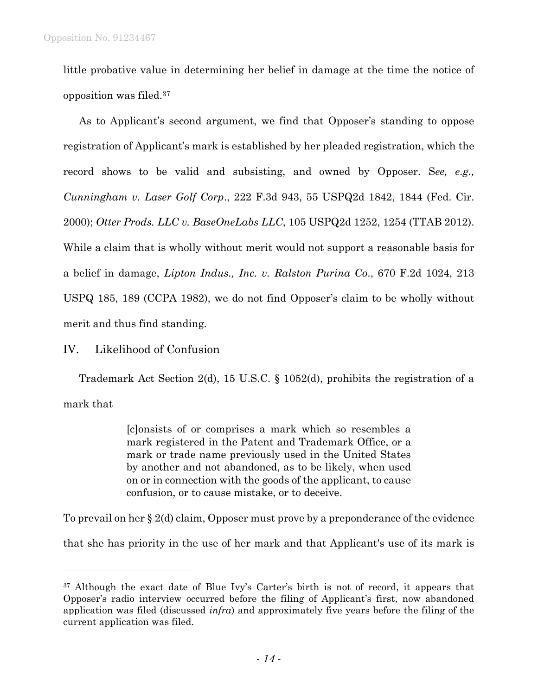little probative value in determining her belief in damage at the time the notice of opposition was filed.<sup>37</sup>

As to Applicant's second argument, we find that Opposer's standing to oppose registration of Applicant's mark is established by her pleaded registration, which the record shows to be valid and subsisting, and owned by Opposer. S*ee, e.g., Cunningham v. Laser Golf Corp*., 222 F.3d 943, 55 USPQ2d 1842, 1844 (Fed. Cir. 2000); *Otter Prods. LLC v. BaseOneLabs LLC*, 105 USPQ2d 1252, 1254 (TTAB 2012). While a claim that is wholly without merit would not support a reasonable basis for a belief in damage, *Lipton Indus., Inc. v. Ralston Purina Co*., 670 F.2d 1024, 213 USPQ 185, 189 (CCPA 1982), we do not find Opposer's claim to be wholly without merit and thus find standing.

# IV. Likelihood of Confusion

l

Trademark Act Section 2(d), 15 U.S.C. § 1052(d), prohibits the registration of a mark that

> [c]onsists of or comprises a mark which so resembles a mark registered in the Patent and Trademark Office, or a mark or trade name previously used in the United States by another and not abandoned, as to be likely, when used on or in connection with the goods of the applicant, to cause confusion, or to cause mistake, or to deceive.

To prevail on her § 2(d) claim, Opposer must prove by a preponderance of the evidence

that she has priority in the use of her mark and that Applicant's use of its mark is

<sup>&</sup>lt;sup>37</sup> Although the exact date of Blue Ivy's Carter's birth is not of record, it appears that Opposer's radio interview occurred before the filing of Applicant's first, now abandoned application was filed (discussed *infra*) and approximately five years before the filing of the current application was filed.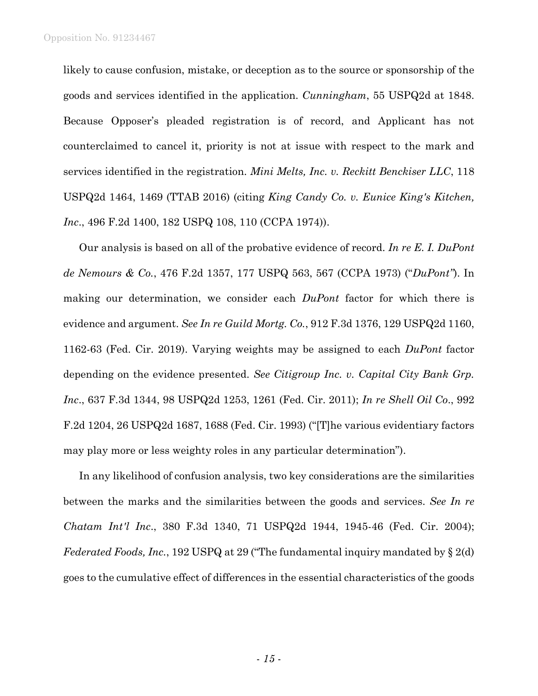likely to cause confusion, mistake, or deception as to the source or sponsorship of the goods and services identified in the application. *Cunningham*, 55 USPQ2d at 1848. Because Opposer's pleaded registration is of record, and Applicant has not counterclaimed to cancel it, priority is not at issue with respect to the mark and services identified in the registration. *Mini Melts, Inc. v. Reckitt Benckiser LLC*, 118 USPQ2d 1464, 1469 (TTAB 2016) (citing *King Candy Co. v. Eunice King's Kitchen, Inc*., 496 F.2d 1400, 182 USPQ 108, 110 (CCPA 1974)).

Our analysis is based on all of the probative evidence of record. *In re E. I. DuPont de Nemours & Co.*, 476 F.2d 1357, 177 USPQ 563, 567 (CCPA 1973) ("*DuPont"*). In making our determination, we consider each *DuPont* factor for which there is evidence and argument. *See In re Guild Mortg. Co.*, 912 F.3d 1376, 129 USPQ2d 1160, 1162-63 (Fed. Cir. 2019). Varying weights may be assigned to each *DuPont* factor depending on the evidence presented. *See Citigroup Inc. v. Capital City Bank Grp. Inc*., 637 F.3d 1344, 98 USPQ2d 1253, 1261 (Fed. Cir. 2011); *In re Shell Oil Co*., 992 F.2d 1204, 26 USPQ2d 1687, 1688 (Fed. Cir. 1993) ("[T]he various evidentiary factors may play more or less weighty roles in any particular determination").

In any likelihood of confusion analysis, two key considerations are the similarities between the marks and the similarities between the goods and services. *See In re Chatam Int'l Inc*., 380 F.3d 1340, 71 USPQ2d 1944, 1945-46 (Fed. Cir. 2004); *Federated Foods, Inc.*, 192 USPQ at 29 ("The fundamental inquiry mandated by § 2(d) goes to the cumulative effect of differences in the essential characteristics of the goods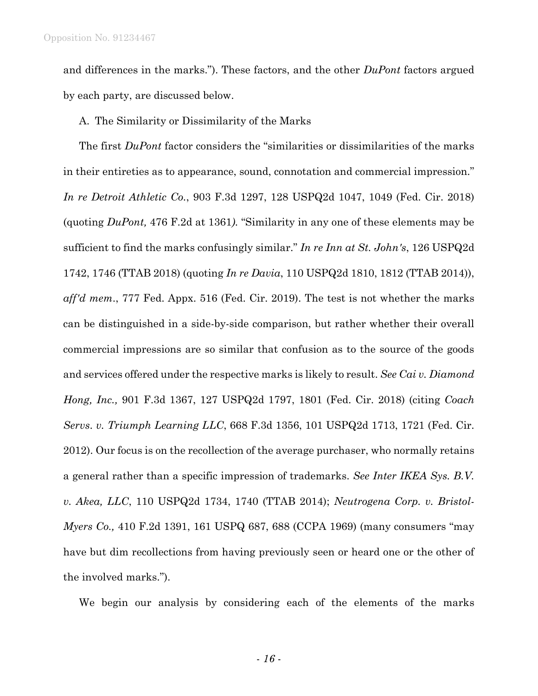and differences in the marks."). These factors, and the other *DuPont* factors argued by each party, are discussed below.

## A. The Similarity or Dissimilarity of the Marks

The first *DuPont* factor considers the "similarities or dissimilarities of the marks in their entireties as to appearance, sound, connotation and commercial impression." *In re Detroit Athletic Co.*, 903 F.3d 1297, 128 USPQ2d 1047, 1049 (Fed. Cir. 2018) (quoting *DuPont,* 476 F.2d at 1361*).* "Similarity in any one of these elements may be sufficient to find the marks confusingly similar." *In re Inn at St. John's*, 126 USPQ2d 1742, 1746 (TTAB 2018) (quoting *In re Davia*, 110 USPQ2d 1810, 1812 (TTAB 2014)), *aff'd mem*., 777 Fed. Appx. 516 (Fed. Cir. 2019). The test is not whether the marks can be distinguished in a side-by-side comparison, but rather whether their overall commercial impressions are so similar that confusion as to the source of the goods and services offered under the respective marks is likely to result. *See Cai v. Diamond Hong, Inc.,* 901 F.3d 1367, 127 USPQ2d 1797, 1801 (Fed. Cir. 2018) (citing *Coach Servs*. *v. Triumph Learning LLC*, 668 F.3d 1356, 101 USPQ2d 1713, 1721 (Fed. Cir. 2012). Our focus is on the recollection of the average purchaser, who normally retains a general rather than a specific impression of trademarks. *See Inter IKEA Sys. B.V. v. Akea, LLC*, 110 USPQ2d 1734, 1740 (TTAB 2014); *Neutrogena Corp. v. Bristol-Myers Co.,* 410 F.2d 1391, 161 USPQ 687, 688 (CCPA 1969) (many consumers "may have but dim recollections from having previously seen or heard one or the other of the involved marks.").

We begin our analysis by considering each of the elements of the marks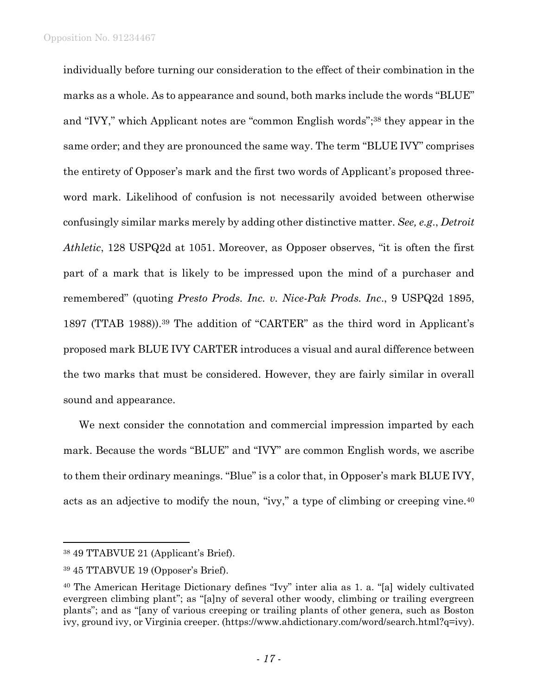individually before turning our consideration to the effect of their combination in the marks as a whole. As to appearance and sound, both marks include the words "BLUE" and "IVY," which Applicant notes are "common English words"; <sup>38</sup> they appear in the same order; and they are pronounced the same way. The term "BLUE IVY" comprises the entirety of Opposer's mark and the first two words of Applicant's proposed threeword mark. Likelihood of confusion is not necessarily avoided between otherwise confusingly similar marks merely by adding other distinctive matter. *See, e.g*., *Detroit Athletic*, 128 USPQ2d at 1051. Moreover, as Opposer observes, "it is often the first part of a mark that is likely to be impressed upon the mind of a purchaser and remembered" (quoting *Presto Prods. Inc. v. Nice-Pak Prods. Inc*., 9 USPQ2d 1895, 1897 (TTAB 1988)).<sup>39</sup> The addition of "CARTER" as the third word in Applicant's proposed mark BLUE IVY CARTER introduces a visual and aural difference between the two marks that must be considered. However, they are fairly similar in overall sound and appearance.

We next consider the connotation and commercial impression imparted by each mark. Because the words "BLUE" and "IVY" are common English words, we ascribe to them their ordinary meanings. "Blue" is a color that, in Opposer's mark BLUE IVY, acts as an adjective to modify the noun, "ivy," a type of climbing or creeping vine.<sup>40</sup>

<sup>38</sup> 49 TTABVUE 21 (Applicant's Brief).

<sup>39</sup> 45 TTABVUE 19 (Opposer's Brief).

<sup>40</sup> The American Heritage Dictionary defines "Ivy" inter alia as 1. a. "[a] widely cultivated evergreen climbing plant"; as "[a]ny of several other woody, climbing or trailing evergreen plants"; and as "[any of various creeping or trailing plants of other genera, such as Boston ivy, ground ivy, or Virginia creeper. (https://www.ahdictionary.com/word/search.html?q=ivy).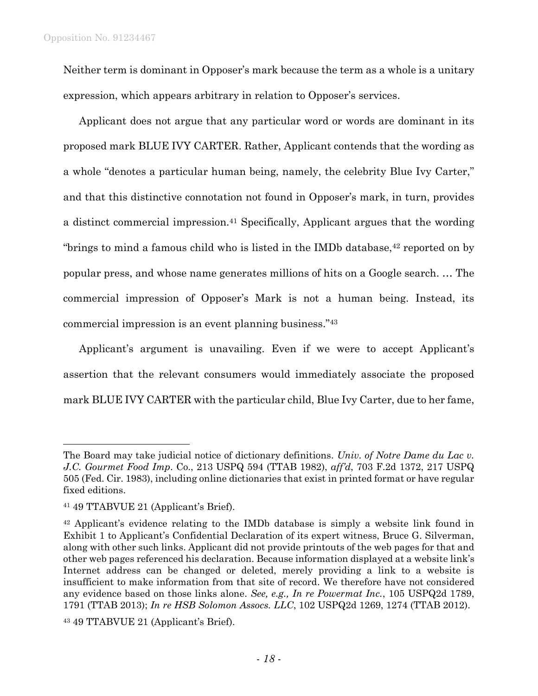Neither term is dominant in Opposer's mark because the term as a whole is a unitary expression, which appears arbitrary in relation to Opposer's services.

Applicant does not argue that any particular word or words are dominant in its proposed mark BLUE IVY CARTER. Rather, Applicant contends that the wording as a whole "denotes a particular human being, namely, the celebrity Blue Ivy Carter," and that this distinctive connotation not found in Opposer's mark, in turn, provides a distinct commercial impression.<sup>41</sup> Specifically, Applicant argues that the wording "brings to mind a famous child who is listed in the IMDb database,  $42$  reported on by popular press, and whose name generates millions of hits on a Google search. … The commercial impression of Opposer's Mark is not a human being. Instead, its commercial impression is an event planning business." 43

Applicant's argument is unavailing. Even if we were to accept Applicant's assertion that the relevant consumers would immediately associate the proposed mark BLUE IVY CARTER with the particular child, Blue Ivy Carter, due to her fame,

The Board may take judicial notice of dictionary definitions. *Univ. of Notre Dame du Lac v. J.C. Gourmet Food Imp*. Co., 213 USPQ 594 (TTAB 1982), *aff'd*, 703 F.2d 1372, 217 USPQ 505 (Fed. Cir. 1983), including online dictionaries that exist in printed format or have regular fixed editions.

<sup>41</sup> 49 TTABVUE 21 (Applicant's Brief).

<sup>&</sup>lt;sup>42</sup> Applicant's evidence relating to the IMDb database is simply a website link found in Exhibit 1 to Applicant's Confidential Declaration of its expert witness, Bruce G. Silverman, along with other such links. Applicant did not provide printouts of the web pages for that and other web pages referenced his declaration. Because information displayed at a website link's Internet address can be changed or deleted, merely providing a link to a website is insufficient to make information from that site of record. We therefore have not considered any evidence based on those links alone. *See, e.g., In re Powermat Inc.*, 105 USPQ2d 1789, 1791 (TTAB 2013); *In re HSB Solomon Assocs. LLC*, 102 USPQ2d 1269, 1274 (TTAB 2012).

<sup>43</sup> 49 TTABVUE 21 (Applicant's Brief).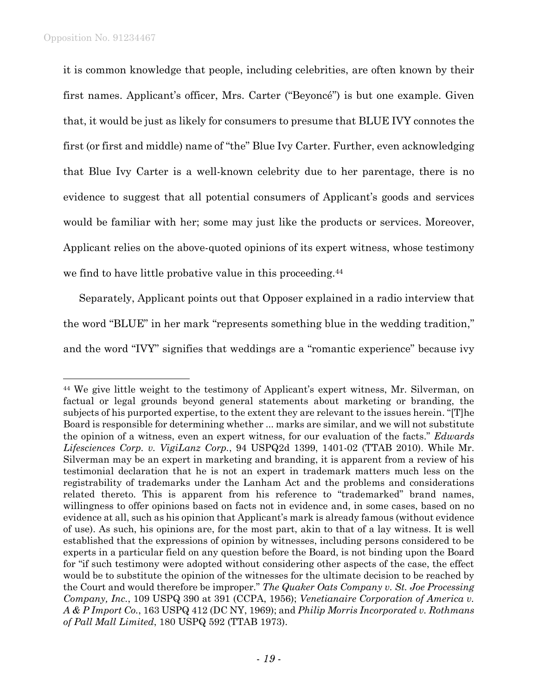l

it is common knowledge that people, including celebrities, are often known by their first names. Applicant's officer, Mrs. Carter ("Beyoncé") is but one example. Given that, it would be just as likely for consumers to presume that BLUE IVY connotes the first (or first and middle) name of "the" Blue Ivy Carter. Further, even acknowledging that Blue Ivy Carter is a well-known celebrity due to her parentage, there is no evidence to suggest that all potential consumers of Applicant's goods and services would be familiar with her; some may just like the products or services. Moreover, Applicant relies on the above-quoted opinions of its expert witness, whose testimony we find to have little probative value in this proceeding.<sup>44</sup>

Separately, Applicant points out that Opposer explained in a radio interview that the word "BLUE" in her mark "represents something blue in the wedding tradition," and the word "IVY" signifies that weddings are a "romantic experience" because ivy

<sup>44</sup> We give little weight to the testimony of Applicant's expert witness, Mr. Silverman, on factual or legal grounds beyond general statements about marketing or branding, the subjects of his purported expertise, to the extent they are relevant to the issues herein. "[T]he Board is responsible for determining whether ... marks are similar, and we will not substitute the opinion of a witness, even an expert witness, for our evaluation of the facts." *Edwards Lifesciences Corp. v. VigiLanz Corp.*, 94 USPQ2d 1399, 1401-02 (TTAB 2010). While Mr. Silverman may be an expert in marketing and branding, it is apparent from a review of his testimonial declaration that he is not an expert in trademark matters much less on the registrability of trademarks under the Lanham Act and the problems and considerations related thereto. This is apparent from his reference to "trademarked" brand names, willingness to offer opinions based on facts not in evidence and, in some cases, based on no evidence at all, such as his opinion that Applicant's mark is already famous (without evidence of use). As such, his opinions are, for the most part, akin to that of a lay witness. It is well established that the expressions of opinion by witnesses, including persons considered to be experts in a particular field on any question before the Board, is not binding upon the Board for "if such testimony were adopted without considering other aspects of the case, the effect would be to substitute the opinion of the witnesses for the ultimate decision to be reached by the Court and would therefore be improper." *The Quaker Oats Company v. St. Joe Processing Company, Inc.*, 109 USPQ 390 at 391 (CCPA, 1956); *Venetianaire Corporation of America v. A & P Import Co.*, 163 USPQ 412 (DC NY, 1969); and *Philip Morris Incorporated v. Rothmans of Pall Mall Limited*, 180 USPQ 592 (TTAB 1973).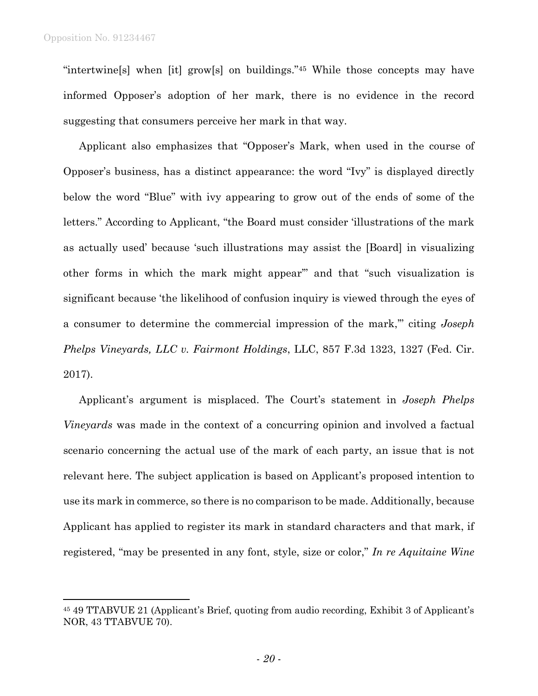l

"intertwine[s] when [it] grow[s] on buildings."<sup>45</sup> While those concepts may have informed Opposer's adoption of her mark, there is no evidence in the record suggesting that consumers perceive her mark in that way.

Applicant also emphasizes that "Opposer's Mark, when used in the course of Opposer's business, has a distinct appearance: the word "Ivy" is displayed directly below the word "Blue" with ivy appearing to grow out of the ends of some of the letters." According to Applicant, "the Board must consider 'illustrations of the mark as actually used' because 'such illustrations may assist the [Board] in visualizing other forms in which the mark might appear'" and that "such visualization is significant because 'the likelihood of confusion inquiry is viewed through the eyes of a consumer to determine the commercial impression of the mark,'" citing *Joseph Phelps Vineyards, LLC v. Fairmont Holdings*, LLC, 857 F.3d 1323, 1327 (Fed. Cir. 2017).

Applicant's argument is misplaced. The Court's statement in *Joseph Phelps Vineyards* was made in the context of a concurring opinion and involved a factual scenario concerning the actual use of the mark of each party, an issue that is not relevant here. The subject application is based on Applicant's proposed intention to use its mark in commerce, so there is no comparison to be made. Additionally, because Applicant has applied to register its mark in standard characters and that mark, if registered, "may be presented in any font, style, size or color," *In re Aquitaine Wine* 

<sup>45</sup> 49 TTABVUE 21 (Applicant's Brief, quoting from audio recording, Exhibit 3 of Applicant's NOR, 43 TTABVUE 70).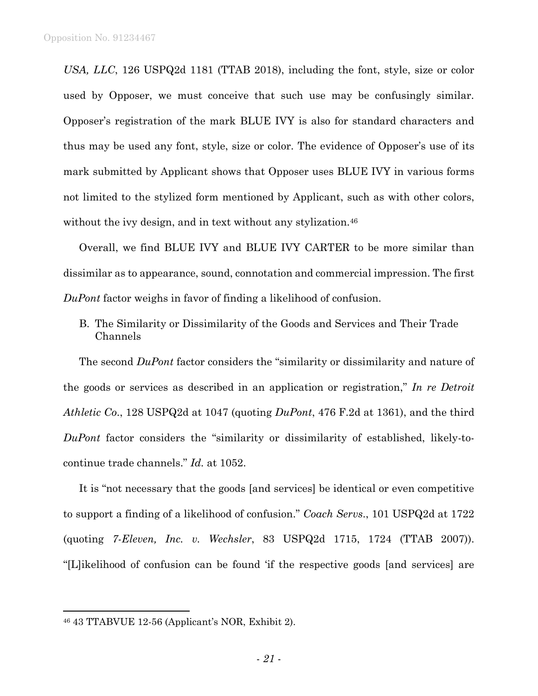*USA, LLC*, 126 USPQ2d 1181 (TTAB 2018), including the font, style, size or color used by Opposer, we must conceive that such use may be confusingly similar. Opposer's registration of the mark BLUE IVY is also for standard characters and thus may be used any font, style, size or color. The evidence of Opposer's use of its mark submitted by Applicant shows that Opposer uses BLUE IVY in various forms not limited to the stylized form mentioned by Applicant, such as with other colors, without the ivy design, and in text without any stylization.<sup>46</sup>

Overall, we find BLUE IVY and BLUE IVY CARTER to be more similar than dissimilar as to appearance, sound, connotation and commercial impression. The first *DuPont* factor weighs in favor of finding a likelihood of confusion.

B. The Similarity or Dissimilarity of the Goods and Services and Their Trade Channels

The second *DuPont* factor considers the "similarity or dissimilarity and nature of the goods or services as described in an application or registration," *In re Detroit Athletic Co*., 128 USPQ2d at 1047 (quoting *DuPont*, 476 F.2d at 1361), and the third *DuPont* factor considers the "similarity or dissimilarity of established, likely-tocontinue trade channels." *Id.* at 1052.

It is "not necessary that the goods [and services] be identical or even competitive to support a finding of a likelihood of confusion." *Coach Servs*., 101 USPQ2d at 1722 (quoting *7-Eleven, Inc. v. Wechsler*, 83 USPQ2d 1715, 1724 (TTAB 2007)). "[L]ikelihood of confusion can be found 'if the respective goods [and services] are

<sup>46</sup> 43 TTABVUE 12-56 (Applicant's NOR, Exhibit 2).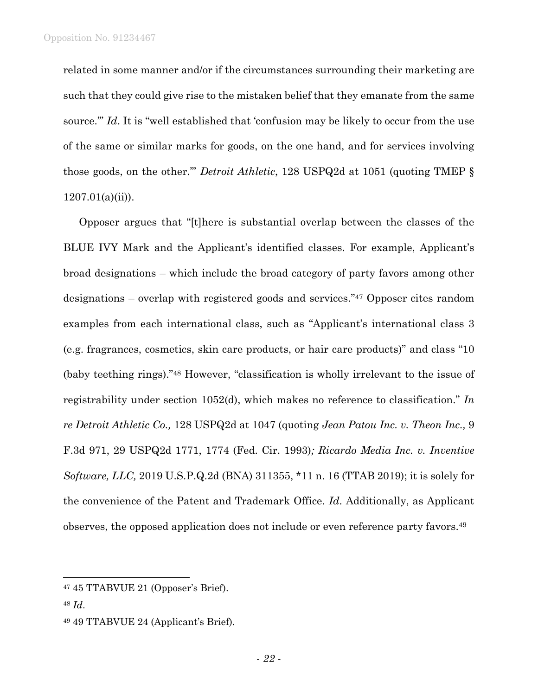related in some manner and/or if the circumstances surrounding their marketing are such that they could give rise to the mistaken belief that they emanate from the same source." *Id*. It is "well established that 'confusion may be likely to occur from the use of the same or similar marks for goods, on the one hand, and for services involving those goods, on the other.'" *Detroit Athletic*, 128 USPQ2d at 1051 (quoting TMEP §  $1207.01(a)(ii)$ ).

Opposer argues that "[t]here is substantial overlap between the classes of the BLUE IVY Mark and the Applicant's identified classes. For example, Applicant's broad designations – which include the broad category of party favors among other designations – overlap with registered goods and services." <sup>47</sup> Opposer cites random examples from each international class, such as "Applicant's international class 3 (e.g. fragrances, cosmetics, skin care products, or hair care products)" and class "10 (baby teething rings)."<sup>48</sup> However, "classification is wholly irrelevant to the issue of registrability under section 1052(d), which makes no reference to classification." *In re Detroit Athletic Co.,* 128 USPQ2d at 1047 (quoting *Jean Patou Inc. v. Theon Inc.,* 9 F.3d 971, 29 USPQ2d 1771, 1774 (Fed. Cir. 1993)*; Ricardo Media Inc. v. Inventive Software, LLC,* 2019 U.S.P.Q.2d (BNA) 311355, \*11 n. 16 (TTAB 2019); it is solely for the convenience of the Patent and Trademark Office. *Id*. Additionally, as Applicant observes, the opposed application does not include or even reference party favors.<sup>49</sup>

<sup>47</sup> 45 TTABVUE 21 (Opposer's Brief).

<sup>48</sup> *Id*.

<sup>49</sup> 49 TTABVUE 24 (Applicant's Brief).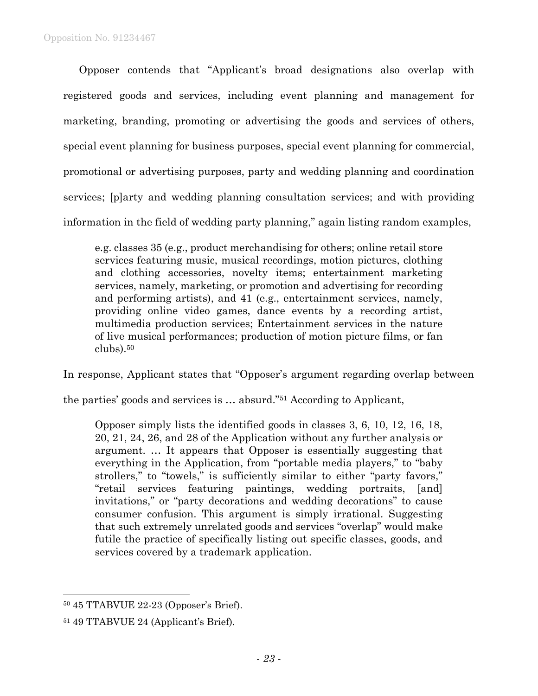Opposer contends that "Applicant's broad designations also overlap with registered goods and services, including event planning and management for marketing, branding, promoting or advertising the goods and services of others, special event planning for business purposes, special event planning for commercial, promotional or advertising purposes, party and wedding planning and coordination services; [p]arty and wedding planning consultation services; and with providing information in the field of wedding party planning," again listing random examples,

e.g. classes 35 (e.g., product merchandising for others; online retail store services featuring music, musical recordings, motion pictures, clothing and clothing accessories, novelty items; entertainment marketing services, namely, marketing, or promotion and advertising for recording and performing artists), and 41 (e.g., entertainment services, namely, providing online video games, dance events by a recording artist, multimedia production services; Entertainment services in the nature of live musical performances; production of motion picture films, or fan clubs).<sup>50</sup>

In response, Applicant states that "Opposer's argument regarding overlap between

the parties' goods and services is … absurd." <sup>51</sup> According to Applicant,

Opposer simply lists the identified goods in classes 3, 6, 10, 12, 16, 18, 20, 21, 24, 26, and 28 of the Application without any further analysis or argument. … It appears that Opposer is essentially suggesting that everything in the Application, from "portable media players," to "baby strollers," to "towels," is sufficiently similar to either "party favors," "retail services featuring paintings, wedding portraits, [and] invitations," or "party decorations and wedding decorations" to cause consumer confusion. This argument is simply irrational. Suggesting that such extremely unrelated goods and services "overlap" would make futile the practice of specifically listing out specific classes, goods, and services covered by a trademark application.

<sup>50</sup> 45 TTABVUE 22-23 (Opposer's Brief).

<sup>51</sup> 49 TTABVUE 24 (Applicant's Brief).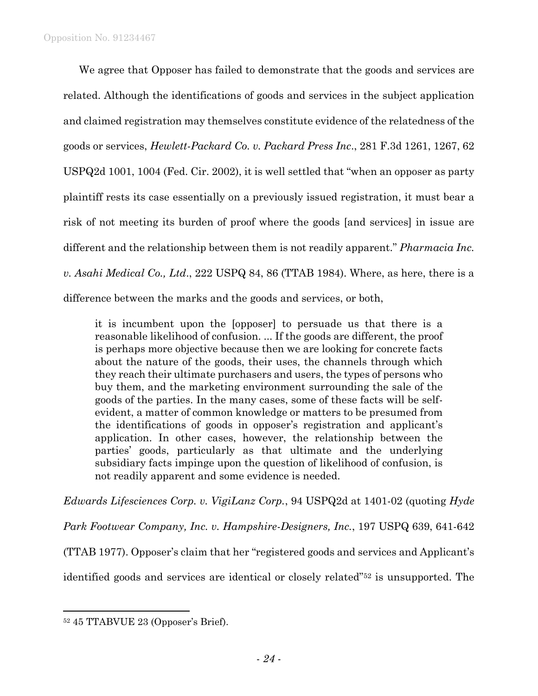We agree that Opposer has failed to demonstrate that the goods and services are related. Although the identifications of goods and services in the subject application and claimed registration may themselves constitute evidence of the relatedness of the goods or services, *Hewlett-Packard Co. v. Packard Press Inc*., 281 F.3d 1261, 1267, 62 USPQ2d 1001, 1004 (Fed. Cir. 2002), it is well settled that "when an opposer as party plaintiff rests its case essentially on a previously issued registration, it must bear a risk of not meeting its burden of proof where the goods [and services] in issue are different and the relationship between them is not readily apparent." *Pharmacia Inc. v. Asahi Medical Co., Ltd*., 222 USPQ 84, 86 (TTAB 1984). Where, as here, there is a difference between the marks and the goods and services, or both,

it is incumbent upon the [opposer] to persuade us that there is a reasonable likelihood of confusion. ... If the goods are different, the proof is perhaps more objective because then we are looking for concrete facts about the nature of the goods, their uses, the channels through which they reach their ultimate purchasers and users, the types of persons who buy them, and the marketing environment surrounding the sale of the goods of the parties. In the many cases, some of these facts will be selfevident, a matter of common knowledge or matters to be presumed from the identifications of goods in opposer's registration and applicant's application. In other cases, however, the relationship between the parties' goods, particularly as that ultimate and the underlying subsidiary facts impinge upon the question of likelihood of confusion, is not readily apparent and some evidence is needed.

*Edwards Lifesciences Corp. v. VigiLanz Corp.*, 94 USPQ2d at 1401-02 (quoting *Hyde* 

*Park Footwear Company, Inc. v. Hampshire-Designers, Inc.*, 197 USPQ 639, 641-642

(TTAB 1977). Opposer's claim that her "registered goods and services and Applicant's

identified goods and services are identical or closely related"<sup>52</sup> is unsupported. The

<sup>52</sup> 45 TTABVUE 23 (Opposer's Brief).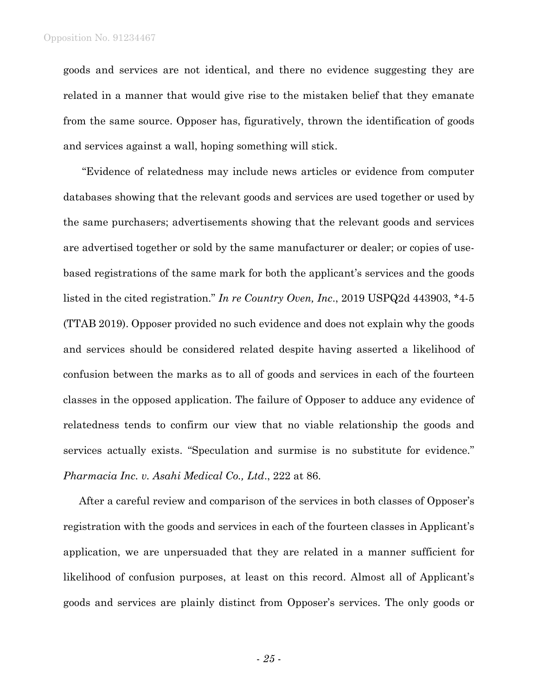goods and services are not identical, and there no evidence suggesting they are related in a manner that would give rise to the mistaken belief that they emanate from the same source. Opposer has, figuratively, thrown the identification of goods and services against a wall, hoping something will stick.

"Evidence of relatedness may include news articles or evidence from computer databases showing that the relevant goods and services are used together or used by the same purchasers; advertisements showing that the relevant goods and services are advertised together or sold by the same manufacturer or dealer; or copies of usebased registrations of the same mark for both the applicant's services and the goods listed in the cited registration." *In re Country Oven, Inc*., 2019 USPQ2d 443903, \*4-5 (TTAB 2019). Opposer provided no such evidence and does not explain why the goods and services should be considered related despite having asserted a likelihood of confusion between the marks as to all of goods and services in each of the fourteen classes in the opposed application. The failure of Opposer to adduce any evidence of relatedness tends to confirm our view that no viable relationship the goods and services actually exists. "Speculation and surmise is no substitute for evidence." *Pharmacia Inc. v. Asahi Medical Co., Ltd*., 222 at 86.

After a careful review and comparison of the services in both classes of Opposer's registration with the goods and services in each of the fourteen classes in Applicant's application, we are unpersuaded that they are related in a manner sufficient for likelihood of confusion purposes, at least on this record. Almost all of Applicant's goods and services are plainly distinct from Opposer's services. The only goods or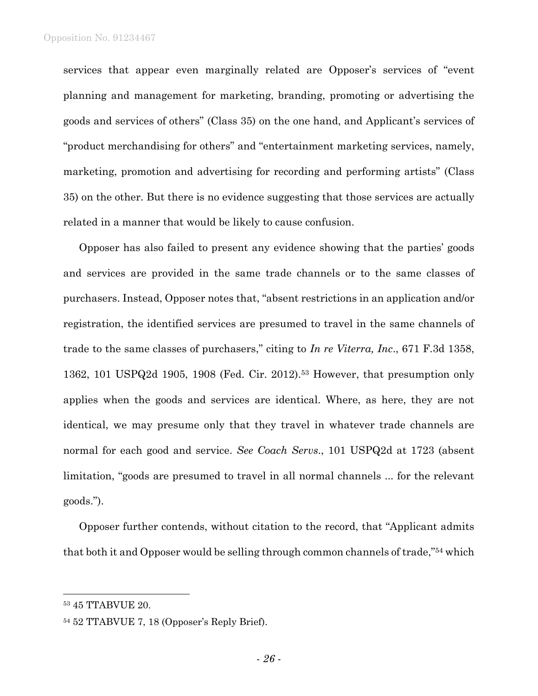services that appear even marginally related are Opposer's services of "event planning and management for marketing, branding, promoting or advertising the goods and services of others" (Class 35) on the one hand, and Applicant's services of "product merchandising for others" and "entertainment marketing services, namely, marketing, promotion and advertising for recording and performing artists" (Class 35) on the other. But there is no evidence suggesting that those services are actually related in a manner that would be likely to cause confusion.

Opposer has also failed to present any evidence showing that the parties' goods and services are provided in the same trade channels or to the same classes of purchasers. Instead, Opposer notes that, "absent restrictions in an application and/or registration, the identified services are presumed to travel in the same channels of trade to the same classes of purchasers," citing to *In re Viterra, Inc*., 671 F.3d 1358, 1362, 101 USPQ2d 1905, 1908 (Fed. Cir. 2012).<sup>53</sup> However, that presumption only applies when the goods and services are identical. Where, as here, they are not identical, we may presume only that they travel in whatever trade channels are normal for each good and service. *See Coach Servs*., 101 USPQ2d at 1723 (absent limitation, "goods are presumed to travel in all normal channels ... for the relevant goods.").

Opposer further contends, without citation to the record, that "Applicant admits that both it and Opposer would be selling through common channels of trade," <sup>54</sup> which

<sup>53</sup> 45 TTABVUE 20.

<sup>54</sup> 52 TTABVUE 7, 18 (Opposer's Reply Brief).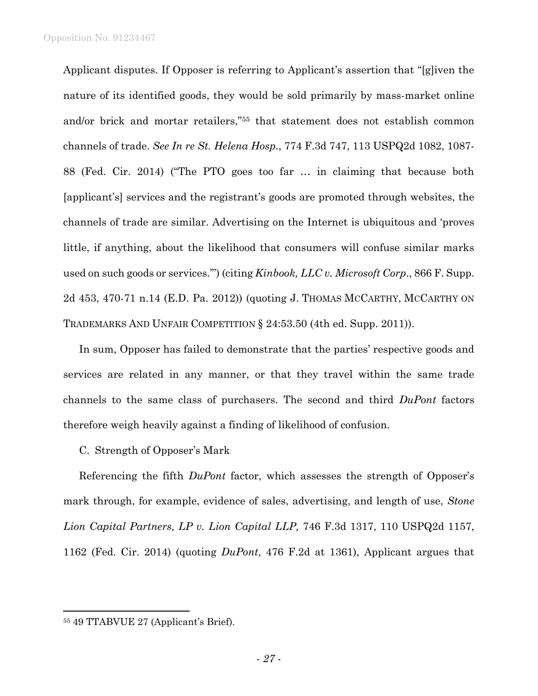Applicant disputes. If Opposer is referring to Applicant's assertion that "[g]iven the nature of its identified goods, they would be sold primarily by mass-market online and/or brick and mortar retailers,"<sup>55</sup> that statement does not establish common channels of trade. *See In re St. Helena Hosp*., 774 F.3d 747, 113 USPQ2d 1082, 1087- 88 (Fed. Cir. 2014) ("The PTO goes too far … in claiming that because both [applicant's] services and the registrant's goods are promoted through websites, the channels of trade are similar. Advertising on the Internet is ubiquitous and 'proves little, if anything, about the likelihood that consumers will confuse similar marks used on such goods or services.'") (citing *Kinbook, LLC v. Microsoft Corp*., 866 F. Supp. 2d 453, 470-71 n.14 (E.D. Pa. 2012)) (quoting J. THOMAS MCCARTHY, MCCARTHY ON TRADEMARKS AND UNFAIR COMPETITION § 24:53.50 (4th ed. Supp. 2011)).

In sum, Opposer has failed to demonstrate that the parties' respective goods and services are related in any manner, or that they travel within the same trade channels to the same class of purchasers. The second and third *DuPont* factors therefore weigh heavily against a finding of likelihood of confusion.

# C. Strength of Opposer's Mark

Referencing the fifth *DuPont* factor, which assesses the strength of Opposer's mark through, for example, evidence of sales, advertising, and length of use, *Stone Lion Capital Partners, LP v. Lion Capital LLP,* 746 F.3d 1317, 110 USPQ2d 1157, 1162 (Fed. Cir. 2014) (quoting *DuPont*, 476 F.2d at 1361), Applicant argues that

<sup>55</sup> 49 TTABVUE 27 (Applicant's Brief).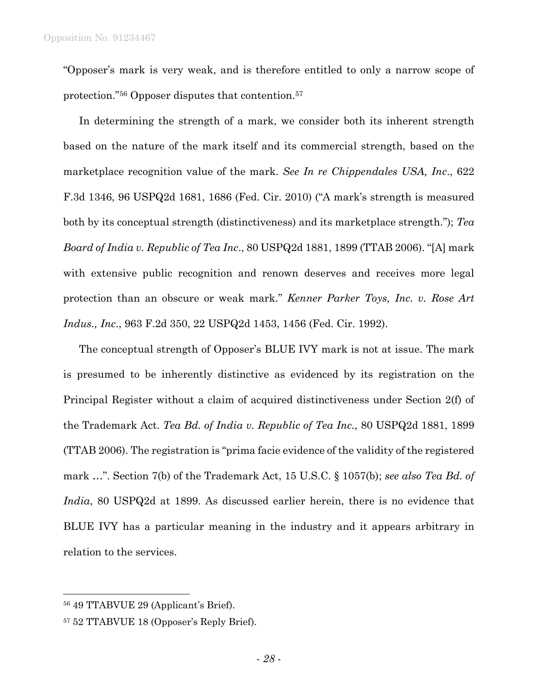"Opposer's mark is very weak, and is therefore entitled to only a narrow scope of protection."<sup>56</sup> Opposer disputes that contention.<sup>57</sup>

In determining the strength of a mark, we consider both its inherent strength based on the nature of the mark itself and its commercial strength, based on the marketplace recognition value of the mark. *See In re Chippendales USA, Inc*., 622 F.3d 1346, 96 USPQ2d 1681, 1686 (Fed. Cir. 2010) ("A mark's strength is measured both by its conceptual strength (distinctiveness) and its marketplace strength."); *Tea Board of India v. Republic of Tea Inc*., 80 USPQ2d 1881, 1899 (TTAB 2006). "[A] mark with extensive public recognition and renown deserves and receives more legal protection than an obscure or weak mark." *Kenner Parker Toys, Inc. v. Rose Art Indus., Inc*., 963 F.2d 350, 22 USPQ2d 1453, 1456 (Fed. Cir. 1992).

The conceptual strength of Opposer's BLUE IVY mark is not at issue. The mark is presumed to be inherently distinctive as evidenced by its registration on the Principal Register without a claim of acquired distinctiveness under Section 2(f) of the Trademark Act. *Tea Bd. of India v. Republic of Tea Inc.,* 80 USPQ2d 1881, 1899 (TTAB 2006). The registration is "prima facie evidence of the validity of the registered mark …". Section 7(b) of the Trademark Act, 15 U.S.C. § 1057(b); *see also Tea Bd. of India*, 80 USPQ2d at 1899. As discussed earlier herein, there is no evidence that BLUE IVY has a particular meaning in the industry and it appears arbitrary in relation to the services.

<sup>56</sup> 49 TTABVUE 29 (Applicant's Brief).

<sup>57</sup> 52 TTABVUE 18 (Opposer's Reply Brief).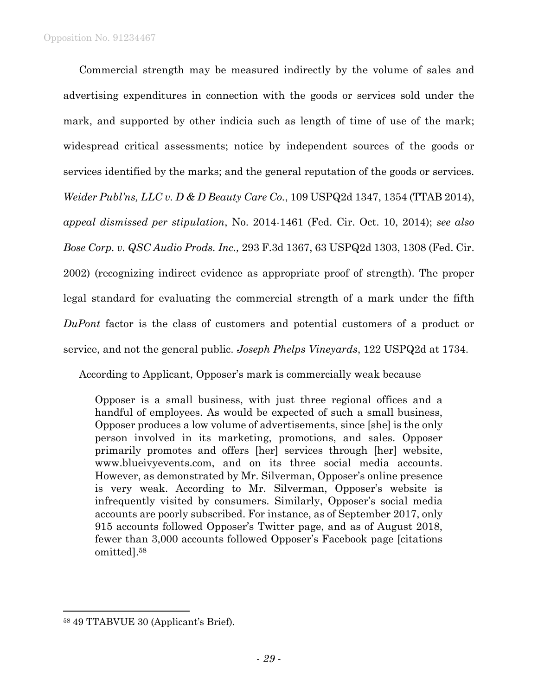Commercial strength may be measured indirectly by the volume of sales and advertising expenditures in connection with the goods or services sold under the mark, and supported by other indicia such as length of time of use of the mark; widespread critical assessments; notice by independent sources of the goods or services identified by the marks; and the general reputation of the goods or services. *Weider Publ'ns, LLC v. D & D Beauty Care Co.*, 109 USPQ2d 1347, 1354 (TTAB 2014), *appeal dismissed per stipulation*, No. 2014-1461 (Fed. Cir. Oct. 10, 2014); *see also Bose Corp. v. QSC Audio Prods. Inc.,* 293 F.3d 1367, 63 USPQ2d 1303, 1308 (Fed. Cir. 2002) (recognizing indirect evidence as appropriate proof of strength). The proper legal standard for evaluating the commercial strength of a mark under the fifth *DuPont* factor is the class of customers and potential customers of a product or service, and not the general public. *Joseph Phelps Vineyards*, 122 USPQ2d at 1734.

According to Applicant, Opposer's mark is commercially weak because

Opposer is a small business, with just three regional offices and a handful of employees. As would be expected of such a small business, Opposer produces a low volume of advertisements, since [she] is the only person involved in its marketing, promotions, and sales. Opposer primarily promotes and offers [her] services through [her] website, www.blueivyevents.com, and on its three social media accounts. However, as demonstrated by Mr. Silverman, Opposer's online presence is very weak. According to Mr. Silverman, Opposer's website is infrequently visited by consumers. Similarly, Opposer's social media accounts are poorly subscribed. For instance, as of September 2017, only 915 accounts followed Opposer's Twitter page, and as of August 2018, fewer than 3,000 accounts followed Opposer's Facebook page [citations omitted].<sup>58</sup>

<sup>58</sup> 49 TTABVUE 30 (Applicant's Brief).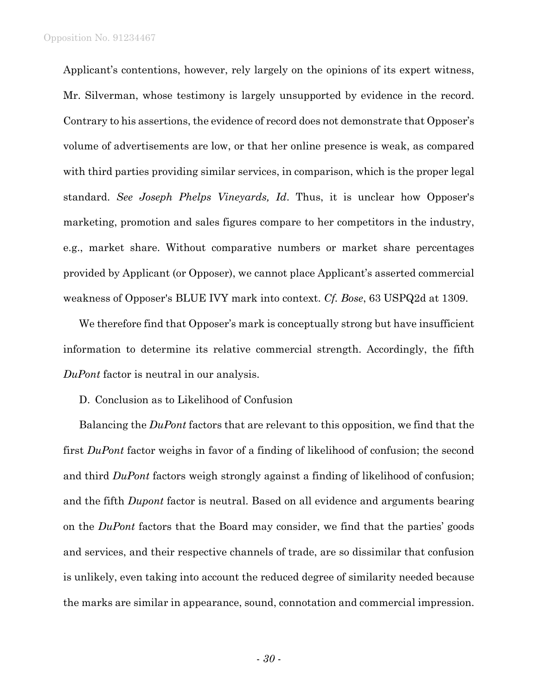Applicant's contentions, however, rely largely on the opinions of its expert witness, Mr. Silverman, whose testimony is largely unsupported by evidence in the record. Contrary to his assertions, the evidence of record does not demonstrate that Opposer's volume of advertisements are low, or that her online presence is weak, as compared with third parties providing similar services, in comparison, which is the proper legal standard. *See Joseph Phelps Vineyards, Id*. Thus, it is unclear how Opposer's marketing, promotion and sales figures compare to her competitors in the industry, e.g., market share. Without comparative numbers or market share percentages provided by Applicant (or Opposer), we cannot place Applicant's asserted commercial weakness of Opposer's BLUE IVY mark into context. *Cf. Bose*, 63 USPQ2d at 1309.

We therefore find that Opposer's mark is conceptually strong but have insufficient information to determine its relative commercial strength. Accordingly, the fifth *DuPont* factor is neutral in our analysis.

D. Conclusion as to Likelihood of Confusion

Balancing the *DuPont* factors that are relevant to this opposition, we find that the first *DuPont* factor weighs in favor of a finding of likelihood of confusion; the second and third *DuPont* factors weigh strongly against a finding of likelihood of confusion; and the fifth *Dupont* factor is neutral. Based on all evidence and arguments bearing on the *DuPont* factors that the Board may consider, we find that the parties' goods and services, and their respective channels of trade, are so dissimilar that confusion is unlikely, even taking into account the reduced degree of similarity needed because the marks are similar in appearance, sound, connotation and commercial impression.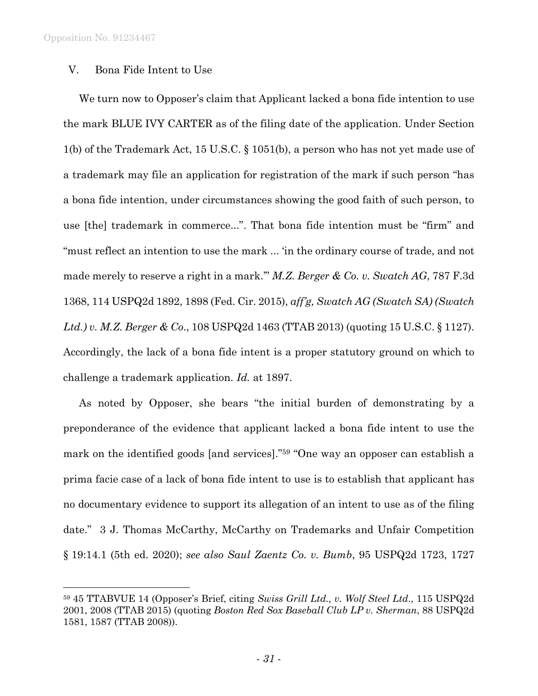l

## V. Bona Fide Intent to Use

We turn now to Opposer's claim that Applicant lacked a bona fide intention to use the mark BLUE IVY CARTER as of the filing date of the application. Under Section 1(b) of the Trademark Act, 15 U.S.C. § 1051(b), a person who has not yet made use of a trademark may file an application for registration of the mark if such person "has a bona fide intention, under circumstances showing the good faith of such person, to use [the] trademark in commerce...". That bona fide intention must be "firm" and "must reflect an intention to use the mark ... 'in the ordinary course of trade, and not made merely to reserve a right in a mark.'" *M.Z. Berger & Co. v. Swatch AG*, 787 F.3d 1368, 114 USPQ2d 1892, 1898 (Fed. Cir. 2015), *aff'g, Swatch AG (Swatch SA) (Swatch Ltd.) v. M.Z. Berger & Co*., 108 USPQ2d 1463 (TTAB 2013) (quoting 15 U.S.C. § 1127). Accordingly, the lack of a bona fide intent is a proper statutory ground on which to challenge a trademark application. *Id.* at 1897.

As noted by Opposer, she bears "the initial burden of demonstrating by a preponderance of the evidence that applicant lacked a bona fide intent to use the mark on the identified goods [and services]."<sup>59</sup> "One way an opposer can establish a prima facie case of a lack of bona fide intent to use is to establish that applicant has no documentary evidence to support its allegation of an intent to use as of the filing date." 3 J. Thomas McCarthy, McCarthy on Trademarks and Unfair Competition § 19:14.1 (5th ed. 2020); *see also Saul Zaentz Co. v. Bumb*, 95 USPQ2d 1723, 1727

<sup>59</sup> 45 TTABVUE 14 (Opposer's Brief, citing *Swiss Grill Ltd., v. Wolf Steel Ltd*., 115 USPQ2d 2001, 2008 (TTAB 2015) (quoting *Boston Red Sox Baseball Club LP v. Sherman*, 88 USPQ2d 1581, 1587 (TTAB 2008)).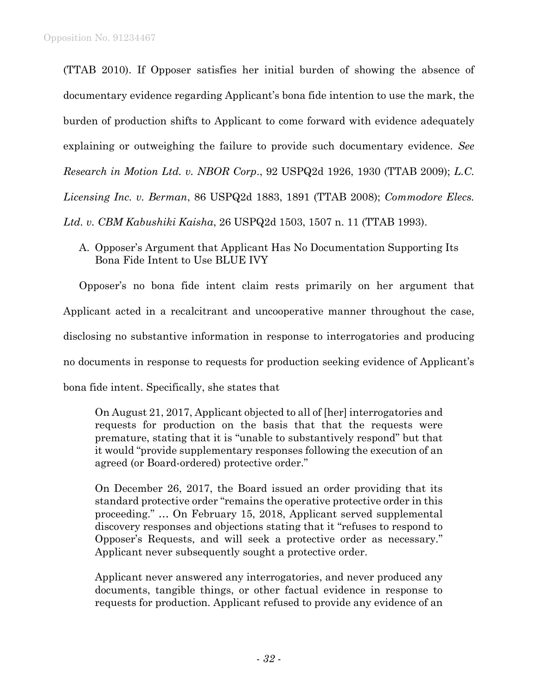(TTAB 2010). If Opposer satisfies her initial burden of showing the absence of documentary evidence regarding Applicant's bona fide intention to use the mark, the burden of production shifts to Applicant to come forward with evidence adequately explaining or outweighing the failure to provide such documentary evidence. *See Research in Motion Ltd. v. NBOR Corp*., 92 USPQ2d 1926, 1930 (TTAB 2009); *L.C. Licensing Inc. v. Berman*, 86 USPQ2d 1883, 1891 (TTAB 2008); *Commodore Elecs. Ltd. v. CBM Kabushiki Kaisha*, 26 USPQ2d 1503, 1507 n. 11 (TTAB 1993).

A. Opposer's Argument that Applicant Has No Documentation Supporting Its Bona Fide Intent to Use BLUE IVY

Opposer's no bona fide intent claim rests primarily on her argument that Applicant acted in a recalcitrant and uncooperative manner throughout the case, disclosing no substantive information in response to interrogatories and producing no documents in response to requests for production seeking evidence of Applicant's bona fide intent. Specifically, she states that

On August 21, 2017, Applicant objected to all of [her] interrogatories and requests for production on the basis that that the requests were premature, stating that it is "unable to substantively respond" but that it would "provide supplementary responses following the execution of an agreed (or Board-ordered) protective order."

On December 26, 2017, the Board issued an order providing that its standard protective order "remains the operative protective order in this proceeding." … On February 15, 2018, Applicant served supplemental discovery responses and objections stating that it "refuses to respond to Opposer's Requests, and will seek a protective order as necessary." Applicant never subsequently sought a protective order.

Applicant never answered any interrogatories, and never produced any documents, tangible things, or other factual evidence in response to requests for production. Applicant refused to provide any evidence of an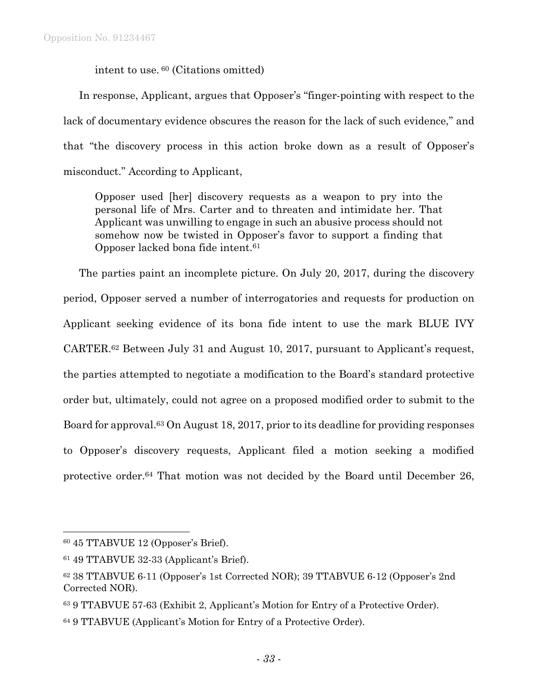intent to use. <sup>60</sup> (Citations omitted)

In response, Applicant, argues that Opposer's "finger-pointing with respect to the lack of documentary evidence obscures the reason for the lack of such evidence," and that "the discovery process in this action broke down as a result of Opposer's misconduct." According to Applicant,

Opposer used [her] discovery requests as a weapon to pry into the personal life of Mrs. Carter and to threaten and intimidate her. That Applicant was unwilling to engage in such an abusive process should not somehow now be twisted in Opposer's favor to support a finding that Opposer lacked bona fide intent.<sup>61</sup>

The parties paint an incomplete picture. On July 20, 2017, during the discovery period, Opposer served a number of interrogatories and requests for production on Applicant seeking evidence of its bona fide intent to use the mark BLUE IVY CARTER.<sup>62</sup> Between July 31 and August 10, 2017, pursuant to Applicant's request, the parties attempted to negotiate a modification to the Board's standard protective order but, ultimately, could not agree on a proposed modified order to submit to the Board for approval.<sup>63</sup> On August 18, 2017, prior to its deadline for providing responses to Opposer's discovery requests, Applicant filed a motion seeking a modified protective order. <sup>64</sup> That motion was not decided by the Board until December 26,

<sup>60</sup> 45 TTABVUE 12 (Opposer's Brief).

<sup>61</sup> 49 TTABVUE 32-33 (Applicant's Brief).

<sup>62</sup> 38 TTABVUE 6-11 (Opposer's 1st Corrected NOR); 39 TTABVUE 6-12 (Opposer's 2nd Corrected NOR).

<sup>63</sup> 9 TTABVUE 57-63 (Exhibit 2, Applicant's Motion for Entry of a Protective Order).

<sup>64</sup> 9 TTABVUE (Applicant's Motion for Entry of a Protective Order).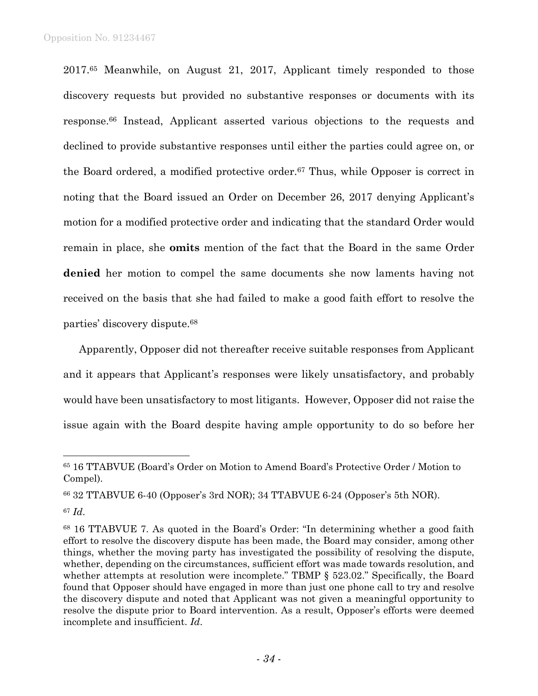2017.<sup>65</sup> Meanwhile, on August 21, 2017, Applicant timely responded to those discovery requests but provided no substantive responses or documents with its response. <sup>66</sup> Instead, Applicant asserted various objections to the requests and declined to provide substantive responses until either the parties could agree on, or the Board ordered, a modified protective order.<sup>67</sup> Thus, while Opposer is correct in noting that the Board issued an Order on December 26, 2017 denying Applicant's motion for a modified protective order and indicating that the standard Order would remain in place, she **omits** mention of the fact that the Board in the same Order **denied** her motion to compel the same documents she now laments having not received on the basis that she had failed to make a good faith effort to resolve the parties' discovery dispute.<sup>68</sup>

Apparently, Opposer did not thereafter receive suitable responses from Applicant and it appears that Applicant's responses were likely unsatisfactory, and probably would have been unsatisfactory to most litigants. However, Opposer did not raise the issue again with the Board despite having ample opportunity to do so before her

<sup>65</sup> 16 TTABVUE (Board's Order on Motion to Amend Board's Protective Order / Motion to Compel).

<sup>66</sup> 32 TTABVUE 6-40 (Opposer's 3rd NOR); 34 TTABVUE 6-24 (Opposer's 5th NOR).

<sup>67</sup> *Id*.

<sup>68</sup> 16 TTABVUE 7. As quoted in the Board's Order: "In determining whether a good faith effort to resolve the discovery dispute has been made, the Board may consider, among other things, whether the moving party has investigated the possibility of resolving the dispute, whether, depending on the circumstances, sufficient effort was made towards resolution, and whether attempts at resolution were incomplete." TBMP § 523.02." Specifically, the Board found that Opposer should have engaged in more than just one phone call to try and resolve the discovery dispute and noted that Applicant was not given a meaningful opportunity to resolve the dispute prior to Board intervention. As a result, Opposer's efforts were deemed incomplete and insufficient. *Id*.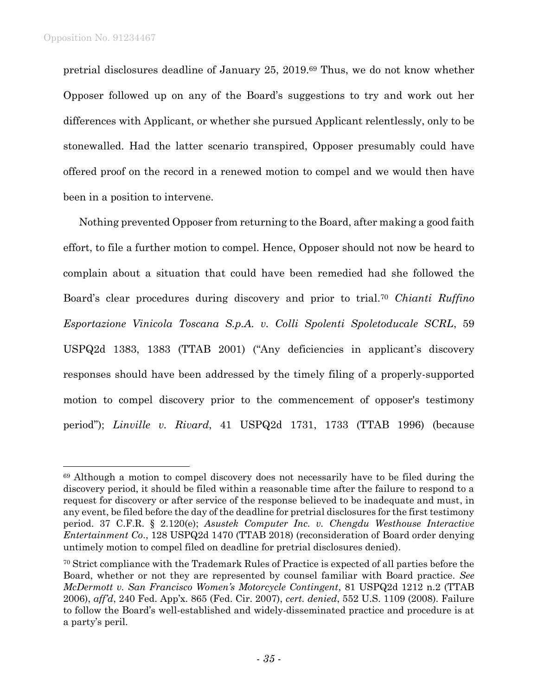l

pretrial disclosures deadline of January 25, 2019. <sup>69</sup> Thus, we do not know whether Opposer followed up on any of the Board's suggestions to try and work out her differences with Applicant, or whether she pursued Applicant relentlessly, only to be stonewalled. Had the latter scenario transpired, Opposer presumably could have offered proof on the record in a renewed motion to compel and we would then have been in a position to intervene.

Nothing prevented Opposer from returning to the Board, after making a good faith effort, to file a further motion to compel. Hence, Opposer should not now be heard to complain about a situation that could have been remedied had she followed the Board's clear procedures during discovery and prior to trial.<sup>70</sup> *Chianti Ruffino Esportazione Vinicola Toscana S.p.A. v. Colli Spolenti Spoletoducale SCRL*, 59 USPQ2d 1383, 1383 (TTAB 2001) ("Any deficiencies in applicant's discovery responses should have been addressed by the timely filing of a properly-supported motion to compel discovery prior to the commencement of opposer's testimony period"); *Linville v. Rivard*, 41 USPQ2d 1731, 1733 (TTAB 1996) (because

<sup>69</sup> Although a motion to compel discovery does not necessarily have to be filed during the discovery period, it should be filed within a reasonable time after the failure to respond to a request for discovery or after service of the response believed to be inadequate and must, in any event, be filed before the day of the deadline for pretrial disclosures for the first testimony period. 37 C.F.R. § 2.120(e); *Asustek Computer Inc. v. Chengdu Westhouse Interactive Entertainment Co*., 128 USPQ2d 1470 (TTAB 2018) (reconsideration of Board order denying untimely motion to compel filed on deadline for pretrial disclosures denied).

<sup>&</sup>lt;sup>70</sup> Strict compliance with the Trademark Rules of Practice is expected of all parties before the Board, whether or not they are represented by counsel familiar with Board practice. *See McDermott v. San Francisco Women's Motorcycle Contingent*, 81 USPQ2d 1212 n.2 (TTAB 2006), *aff'd*, 240 Fed. App'x. 865 (Fed. Cir. 2007), *cert. denied*, 552 U.S. 1109 (2008). Failure to follow the Board's well-established and widely-disseminated practice and procedure is at a party's peril.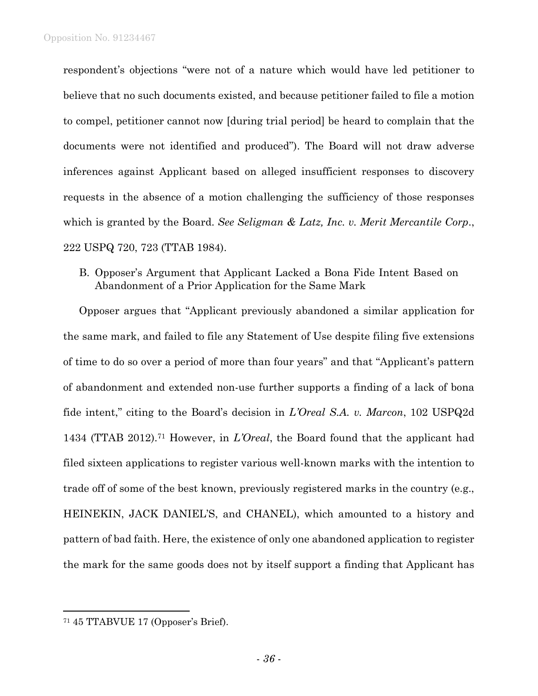respondent's objections "were not of a nature which would have led petitioner to believe that no such documents existed, and because petitioner failed to file a motion to compel, petitioner cannot now [during trial period] be heard to complain that the documents were not identified and produced"). The Board will not draw adverse inferences against Applicant based on alleged insufficient responses to discovery requests in the absence of a motion challenging the sufficiency of those responses which is granted by the Board. *See Seligman & Latz, Inc. v. Merit Mercantile Corp*., 222 USPQ 720, 723 (TTAB 1984).

B. Opposer's Argument that Applicant Lacked a Bona Fide Intent Based on Abandonment of a Prior Application for the Same Mark

Opposer argues that "Applicant previously abandoned a similar application for the same mark, and failed to file any Statement of Use despite filing five extensions of time to do so over a period of more than four years" and that "Applicant's pattern of abandonment and extended non-use further supports a finding of a lack of bona fide intent," citing to the Board's decision in *L'Oreal S.A. v. Marcon*, 102 USPQ2d 1434 (TTAB 2012).<sup>71</sup> However, in *L'Oreal*, the Board found that the applicant had filed sixteen applications to register various well-known marks with the intention to trade off of some of the best known, previously registered marks in the country (e.g., HEINEKIN, JACK DANIEL'S, and CHANEL), which amounted to a history and pattern of bad faith. Here, the existence of only one abandoned application to register the mark for the same goods does not by itself support a finding that Applicant has

<sup>71</sup> 45 TTABVUE 17 (Opposer's Brief).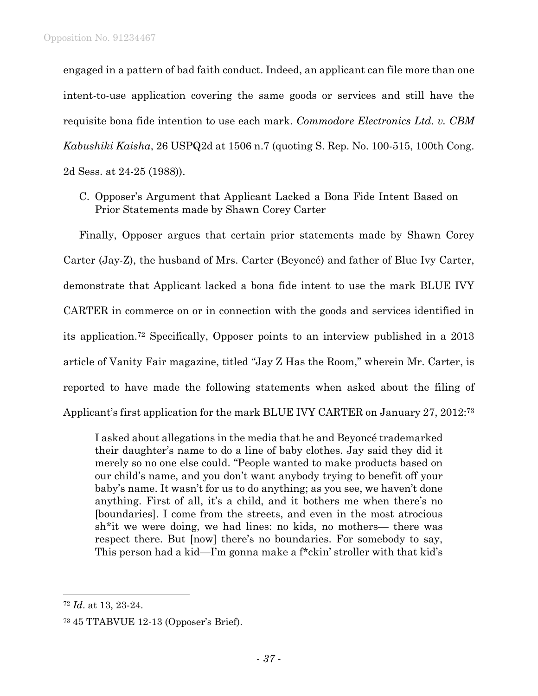engaged in a pattern of bad faith conduct. Indeed, an applicant can file more than one intent-to-use application covering the same goods or services and still have the requisite bona fide intention to use each mark. *Commodore Electronics Ltd. v. CBM Kabushiki Kaisha*, 26 USPQ2d at 1506 n.7 (quoting S. Rep. No. 100-515, 100th Cong. 2d Sess. at 24-25 (1988)).

C. Opposer's Argument that Applicant Lacked a Bona Fide Intent Based on Prior Statements made by Shawn Corey Carter

Finally, Opposer argues that certain prior statements made by Shawn Corey Carter (Jay-Z), the husband of Mrs. Carter (Beyoncé) and father of Blue Ivy Carter, demonstrate that Applicant lacked a bona fide intent to use the mark BLUE IVY CARTER in commerce on or in connection with the goods and services identified in its application.<sup>72</sup> Specifically, Opposer points to an interview published in a 2013 article of Vanity Fair magazine, titled "Jay Z Has the Room," wherein Mr. Carter, is reported to have made the following statements when asked about the filing of Applicant's first application for the mark BLUE IVY CARTER on January 27, 2012:<sup>73</sup>

I asked about allegations in the media that he and Beyoncé trademarked their daughter's name to do a line of baby clothes. Jay said they did it merely so no one else could. "People wanted to make products based on our child's name, and you don't want anybody trying to benefit off your baby's name. It wasn't for us to do anything; as you see, we haven't done anything. First of all, it's a child, and it bothers me when there's no [boundaries]. I come from the streets, and even in the most atrocious sh\*it we were doing, we had lines: no kids, no mothers— there was respect there. But [now] there's no boundaries. For somebody to say, This person had a kid—I'm gonna make a f\*ckin' stroller with that kid's

<sup>72</sup> *Id*. at 13, 23-24.

<sup>73</sup> 45 TTABVUE 12-13 (Opposer's Brief).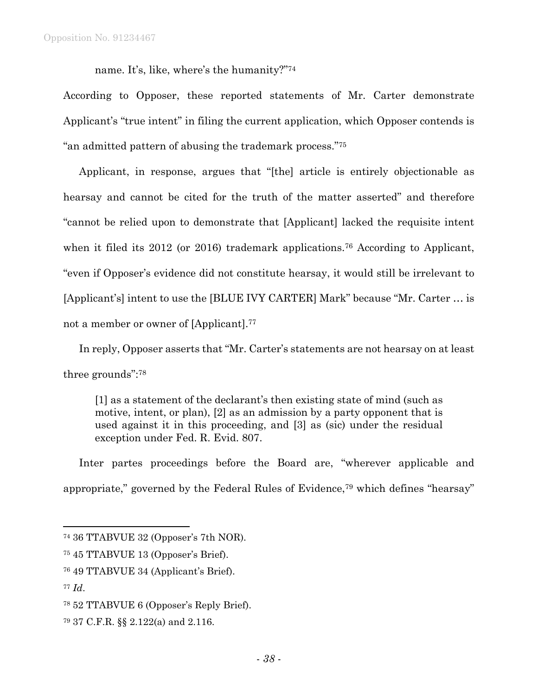name. It's, like, where's the humanity?"<sup>74</sup>

According to Opposer, these reported statements of Mr. Carter demonstrate Applicant's "true intent" in filing the current application, which Opposer contends is "an admitted pattern of abusing the trademark process."<sup>75</sup>

Applicant, in response, argues that "[the] article is entirely objectionable as hearsay and cannot be cited for the truth of the matter asserted" and therefore "cannot be relied upon to demonstrate that [Applicant] lacked the requisite intent when it filed its 2012 (or 2016) trademark applications.<sup>76</sup> According to Applicant, "even if Opposer's evidence did not constitute hearsay, it would still be irrelevant to [Applicant's] intent to use the [BLUE IVY CARTER] Mark" because "Mr. Carter … is not a member or owner of [Applicant].<sup>77</sup>

In reply, Opposer asserts that "Mr. Carter's statements are not hearsay on at least three grounds":<sup>78</sup>

[1] as a statement of the declarant's then existing state of mind (such as motive, intent, or plan), [2] as an admission by a party opponent that is used against it in this proceeding, and [3] as (sic) under the residual exception under Fed. R. Evid. 807.

Inter partes proceedings before the Board are, "wherever applicable and appropriate," governed by the Federal Rules of Evidence,<sup>79</sup> which defines "hearsay"

- <sup>76</sup> 49 TTABVUE 34 (Applicant's Brief).
- <sup>77</sup> *Id*.

<sup>74</sup> 36 TTABVUE 32 (Opposer's 7th NOR).

<sup>75</sup> 45 TTABVUE 13 (Opposer's Brief).

<sup>78</sup> 52 TTABVUE 6 (Opposer's Reply Brief).

<sup>79</sup> 37 C.F.R. §§ 2.122(a) and 2.116.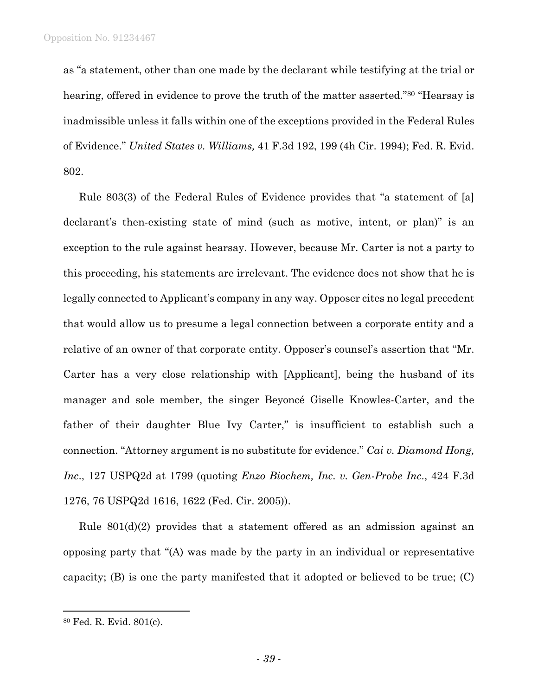as "a statement, other than one made by the declarant while testifying at the trial or hearing, offered in evidence to prove the truth of the matter asserted."<sup>80</sup> "Hearsay is inadmissible unless it falls within one of the exceptions provided in the Federal Rules of Evidence." *United States v. Williams,* 41 F.3d 192, 199 (4h Cir. 1994); Fed. R. Evid. 802.

Rule 803(3) of the Federal Rules of Evidence provides that "a statement of [a] declarant's then-existing state of mind (such as motive, intent, or plan)" is an exception to the rule against hearsay. However, because Mr. Carter is not a party to this proceeding, his statements are irrelevant. The evidence does not show that he is legally connected to Applicant's company in any way. Opposer cites no legal precedent that would allow us to presume a legal connection between a corporate entity and a relative of an owner of that corporate entity. Opposer's counsel's assertion that "Mr. Carter has a very close relationship with [Applicant], being the husband of its manager and sole member, the singer Beyoncé Giselle Knowles-Carter, and the father of their daughter Blue Ivy Carter," is insufficient to establish such a connection. "Attorney argument is no substitute for evidence." *Cai v. Diamond Hong, Inc*., 127 USPQ2d at 1799 (quoting *Enzo Biochem, Inc. v. Gen-Probe Inc*., 424 F.3d 1276, 76 USPQ2d 1616, 1622 (Fed. Cir. 2005)).

Rule 801(d)(2) provides that a statement offered as an admission against an opposing party that "(A) was made by the party in an individual or representative capacity;  $(B)$  is one the party manifested that it adopted or believed to be true;  $(C)$ 

<sup>80</sup> Fed. R. Evid. 801(c).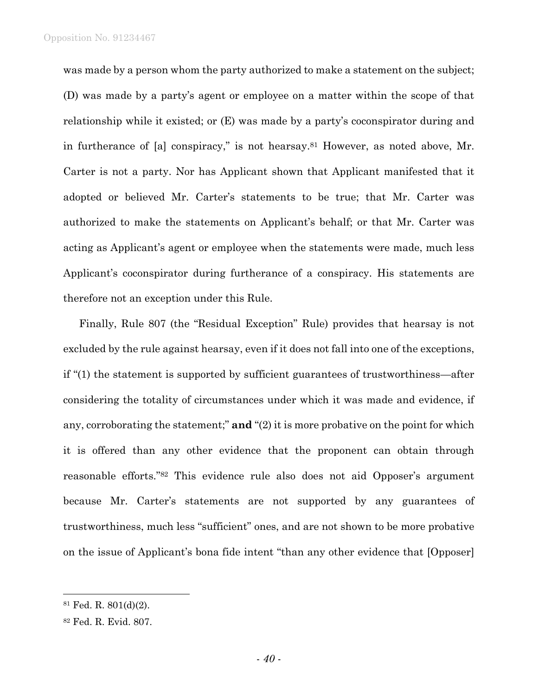was made by a person whom the party authorized to make a statement on the subject; (D) was made by a party's agent or employee on a matter within the scope of that relationship while it existed; or (E) was made by a party's coconspirator during and in furtherance of [a] conspiracy," is not hearsay.<sup>81</sup> However, as noted above, Mr. Carter is not a party. Nor has Applicant shown that Applicant manifested that it adopted or believed Mr. Carter's statements to be true; that Mr. Carter was authorized to make the statements on Applicant's behalf; or that Mr. Carter was acting as Applicant's agent or employee when the statements were made, much less Applicant's coconspirator during furtherance of a conspiracy. His statements are therefore not an exception under this Rule.

Finally, Rule 807 (the "Residual Exception" Rule) provides that hearsay is not excluded by the rule against hearsay, even if it does not fall into one of the exceptions, if "(1) the statement is supported by sufficient guarantees of trustworthiness—after considering the totality of circumstances under which it was made and evidence, if any, corroborating the statement;" **and** "(2) it is more probative on the point for which it is offered than any other evidence that the proponent can obtain through reasonable efforts." <sup>82</sup> This evidence rule also does not aid Opposer's argument because Mr. Carter's statements are not supported by any guarantees of trustworthiness, much less "sufficient" ones, and are not shown to be more probative on the issue of Applicant's bona fide intent "than any other evidence that [Opposer]

<sup>81</sup> Fed. R. 801(d)(2).

<sup>82</sup> Fed. R. Evid. 807.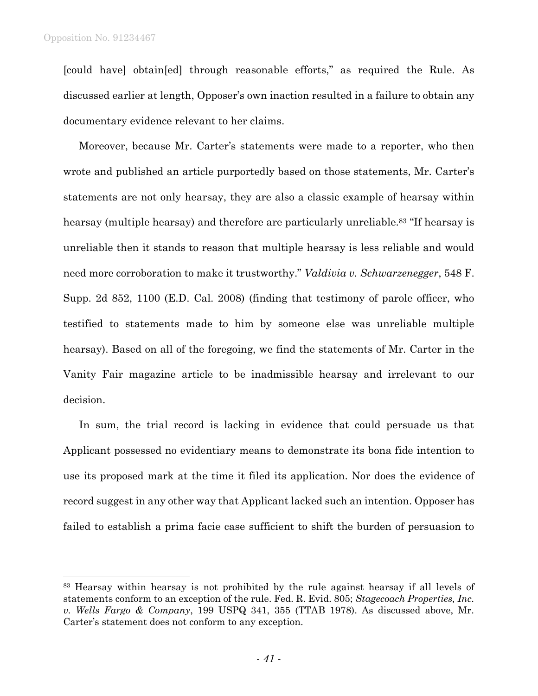l

[could have] obtain[ed] through reasonable efforts," as required the Rule. As discussed earlier at length, Opposer's own inaction resulted in a failure to obtain any documentary evidence relevant to her claims.

Moreover, because Mr. Carter's statements were made to a reporter, who then wrote and published an article purportedly based on those statements, Mr. Carter's statements are not only hearsay, they are also a classic example of hearsay within hearsay (multiple hearsay) and therefore are particularly unreliable. <sup>83</sup> "If hearsay is unreliable then it stands to reason that multiple hearsay is less reliable and would need more corroboration to make it trustworthy." *Valdivia v. Schwarzenegger*, 548 F. Supp. 2d 852, 1100 (E.D. Cal. 2008) (finding that testimony of parole officer, who testified to statements made to him by someone else was unreliable multiple hearsay). Based on all of the foregoing, we find the statements of Mr. Carter in the Vanity Fair magazine article to be inadmissible hearsay and irrelevant to our decision.

In sum, the trial record is lacking in evidence that could persuade us that Applicant possessed no evidentiary means to demonstrate its bona fide intention to use its proposed mark at the time it filed its application. Nor does the evidence of record suggest in any other way that Applicant lacked such an intention. Opposer has failed to establish a prima facie case sufficient to shift the burden of persuasion to

<sup>83</sup> Hearsay within hearsay is not prohibited by the rule against hearsay if all levels of statements conform to an exception of the rule. Fed. R. Evid. 805; *Stagecoach Properties, Inc. v. Wells Fargo & Company*, 199 USPQ 341, 355 (TTAB 1978). As discussed above, Mr. Carter's statement does not conform to any exception.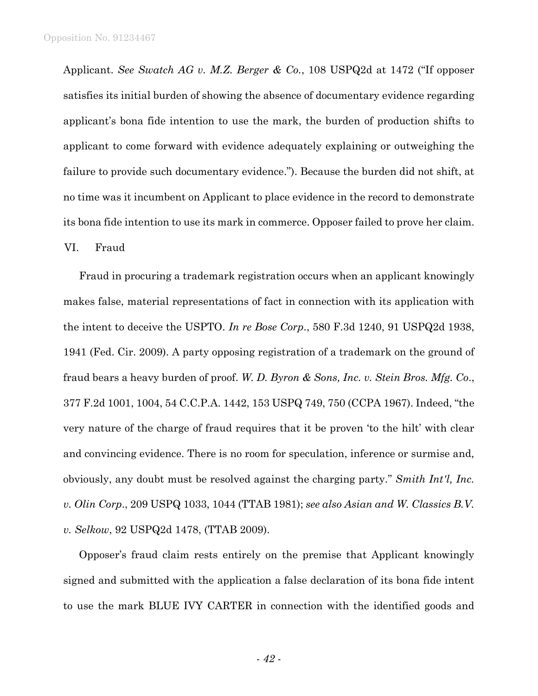Applicant. *See Swatch AG v. M.Z. Berger & Co.*, 108 USPQ2d at 1472 ("If opposer satisfies its initial burden of showing the absence of documentary evidence regarding applicant's bona fide intention to use the mark, the burden of production shifts to applicant to come forward with evidence adequately explaining or outweighing the failure to provide such documentary evidence."). Because the burden did not shift, at no time was it incumbent on Applicant to place evidence in the record to demonstrate its bona fide intention to use its mark in commerce. Opposer failed to prove her claim. VI. Fraud

Fraud in procuring a trademark registration occurs when an applicant knowingly makes false, material representations of fact in connection with its application with the intent to deceive the USPTO. *In re Bose Corp*., 580 F.3d 1240, 91 USPQ2d 1938, 1941 (Fed. Cir. 2009). A party opposing registration of a trademark on the ground of fraud bears a heavy burden of proof. *W. D. Byron & Sons, Inc. v. Stein Bros. Mfg. Co*., 377 F.2d 1001, 1004, 54 C.C.P.A. 1442, 153 USPQ 749, 750 (CCPA 1967). Indeed, "the very nature of the charge of fraud requires that it be proven 'to the hilt' with clear and convincing evidence. There is no room for speculation, inference or surmise and, obviously, any doubt must be resolved against the charging party." *Smith Int'l, Inc. v. Olin Corp*., 209 USPQ 1033, 1044 (TTAB 1981); *see also Asian and W. Classics B.V. v. Selkow*, 92 USPQ2d 1478, (TTAB 2009).

Opposer's fraud claim rests entirely on the premise that Applicant knowingly signed and submitted with the application a false declaration of its bona fide intent to use the mark BLUE IVY CARTER in connection with the identified goods and